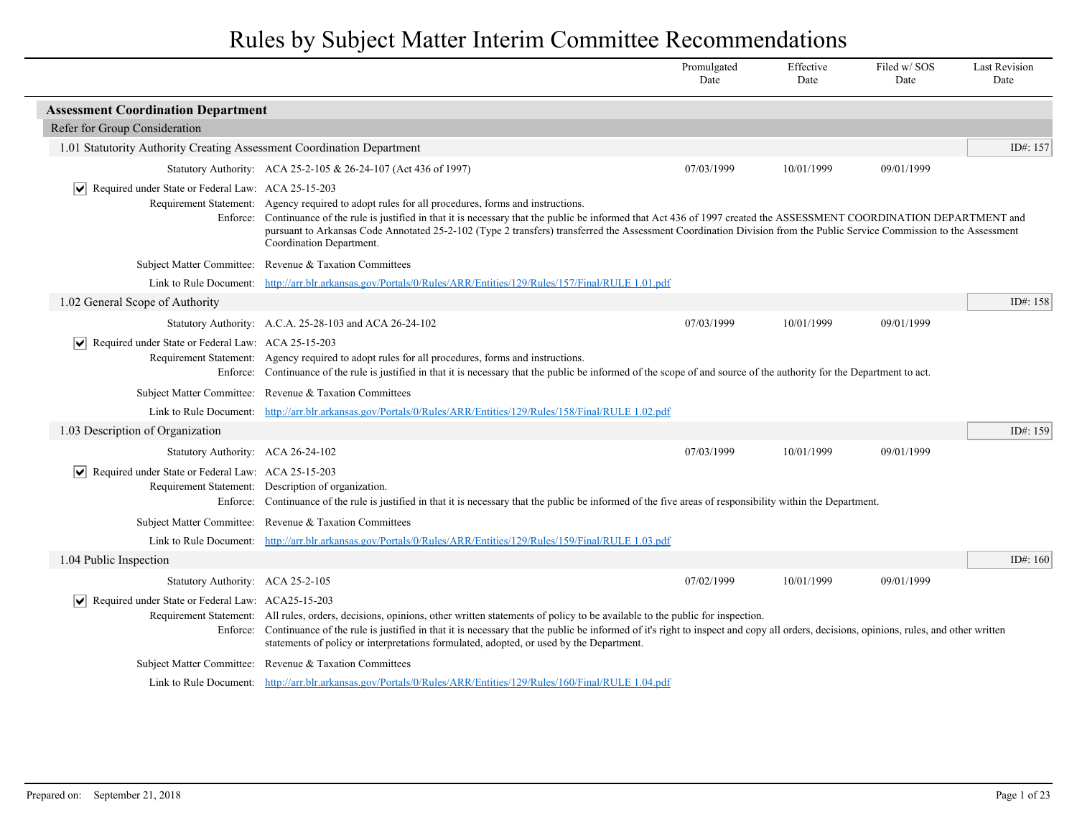|                                                                                       |                                                                                                                                                                                                                                                                                                                                                                                                                                                                            | Promulgated<br>Date | Effective<br>Date | Filed w/SOS<br>Date | <b>Last Revision</b><br>Date |
|---------------------------------------------------------------------------------------|----------------------------------------------------------------------------------------------------------------------------------------------------------------------------------------------------------------------------------------------------------------------------------------------------------------------------------------------------------------------------------------------------------------------------------------------------------------------------|---------------------|-------------------|---------------------|------------------------------|
| <b>Assessment Coordination Department</b>                                             |                                                                                                                                                                                                                                                                                                                                                                                                                                                                            |                     |                   |                     |                              |
| Refer for Group Consideration                                                         |                                                                                                                                                                                                                                                                                                                                                                                                                                                                            |                     |                   |                     |                              |
| 1.01 Statutority Authority Creating Assessment Coordination Department                |                                                                                                                                                                                                                                                                                                                                                                                                                                                                            |                     |                   |                     | ID#: 157                     |
|                                                                                       | Statutory Authority: ACA 25-2-105 & 26-24-107 (Act 436 of 1997)                                                                                                                                                                                                                                                                                                                                                                                                            | 07/03/1999          | 10/01/1999        | 09/01/1999          |                              |
| Required under State or Federal Law: ACA 25-15-203<br>$ \bm{\mathsf{v}} $<br>Enforce: | Requirement Statement: Agency required to adopt rules for all procedures, forms and instructions.<br>Continuance of the rule is justified in that it is necessary that the public be informed that Act 436 of 1997 created the ASSESSMENT COORDINATION DEPARTMENT and<br>pursuant to Arkansas Code Annotated 25-2-102 (Type 2 transfers) transferred the Assessment Coordination Division from the Public Service Commission to the Assessment<br>Coordination Department. |                     |                   |                     |                              |
|                                                                                       | Subject Matter Committee: Revenue & Taxation Committees                                                                                                                                                                                                                                                                                                                                                                                                                    |                     |                   |                     |                              |
|                                                                                       | Link to Rule Document: http://arr.blr.arkansas.gov/Portals/0/Rules/ARR/Entities/129/Rules/157/Final/RULE 1.01.pdf                                                                                                                                                                                                                                                                                                                                                          |                     |                   |                     |                              |
| 1.02 General Scope of Authority                                                       |                                                                                                                                                                                                                                                                                                                                                                                                                                                                            |                     |                   |                     | ID#: 158                     |
|                                                                                       | Statutory Authority: A.C.A. 25-28-103 and ACA 26-24-102                                                                                                                                                                                                                                                                                                                                                                                                                    | 07/03/1999          | 10/01/1999        | 09/01/1999          |                              |
| $ \bm{\mathsf{v}} $<br>Required under State or Federal Law: ACA 25-15-203             | Requirement Statement: Agency required to adopt rules for all procedures, forms and instructions.<br>Enforce: Continuance of the rule is justified in that it is necessary that the public be informed of the scope of and source of the authority for the Department to act.                                                                                                                                                                                              |                     |                   |                     |                              |
|                                                                                       | Subject Matter Committee: Revenue & Taxation Committees                                                                                                                                                                                                                                                                                                                                                                                                                    |                     |                   |                     |                              |
|                                                                                       | Link to Rule Document: http://arr.blr.arkansas.gov/Portals/0/Rules/ARR/Entities/129/Rules/158/Final/RULE 1.02.pdf                                                                                                                                                                                                                                                                                                                                                          |                     |                   |                     |                              |
| 1.03 Description of Organization                                                      |                                                                                                                                                                                                                                                                                                                                                                                                                                                                            |                     |                   |                     | ID#: 159                     |
| Statutory Authority: ACA 26-24-102                                                    |                                                                                                                                                                                                                                                                                                                                                                                                                                                                            | 07/03/1999          | 10/01/1999        | 09/01/1999          |                              |
| $\triangledown$ Required under State or Federal Law: ACA 25-15-203                    | Requirement Statement: Description of organization.<br>Enforce: Continuance of the rule is justified in that it is necessary that the public be informed of the five areas of responsibility within the Department.                                                                                                                                                                                                                                                        |                     |                   |                     |                              |
|                                                                                       | Subject Matter Committee: Revenue & Taxation Committees                                                                                                                                                                                                                                                                                                                                                                                                                    |                     |                   |                     |                              |
|                                                                                       | Link to Rule Document: http://arr.blr.arkansas.gov/Portals/0/Rules/ARR/Entities/129/Rules/159/Final/RULE 1.03.pdf                                                                                                                                                                                                                                                                                                                                                          |                     |                   |                     |                              |
| 1.04 Public Inspection                                                                |                                                                                                                                                                                                                                                                                                                                                                                                                                                                            |                     |                   |                     | ID#: 160                     |
| Statutory Authority: ACA 25-2-105                                                     |                                                                                                                                                                                                                                                                                                                                                                                                                                                                            | 07/02/1999          | 10/01/1999        | 09/01/1999          |                              |
| Required under State or Federal Law: ACA25-15-203<br>∣V∣                              | Requirement Statement: All rules, orders, decisions, opinions, other written statements of policy to be available to the public for inspection.<br>Enforce: Continuance of the rule is justified in that it is necessary that the public be informed of it's right to inspect and copy all orders, decisions, opinions, rules, and other written<br>statements of policy or interpretations formulated, adopted, or used by the Department.                                |                     |                   |                     |                              |
|                                                                                       | Subject Matter Committee: Revenue & Taxation Committees                                                                                                                                                                                                                                                                                                                                                                                                                    |                     |                   |                     |                              |
|                                                                                       | Link to Rule Document: http://arr.blr.arkansas.gov/Portals/0/Rules/ARR/Entities/129/Rules/160/Final/RULE 1.04.pdf                                                                                                                                                                                                                                                                                                                                                          |                     |                   |                     |                              |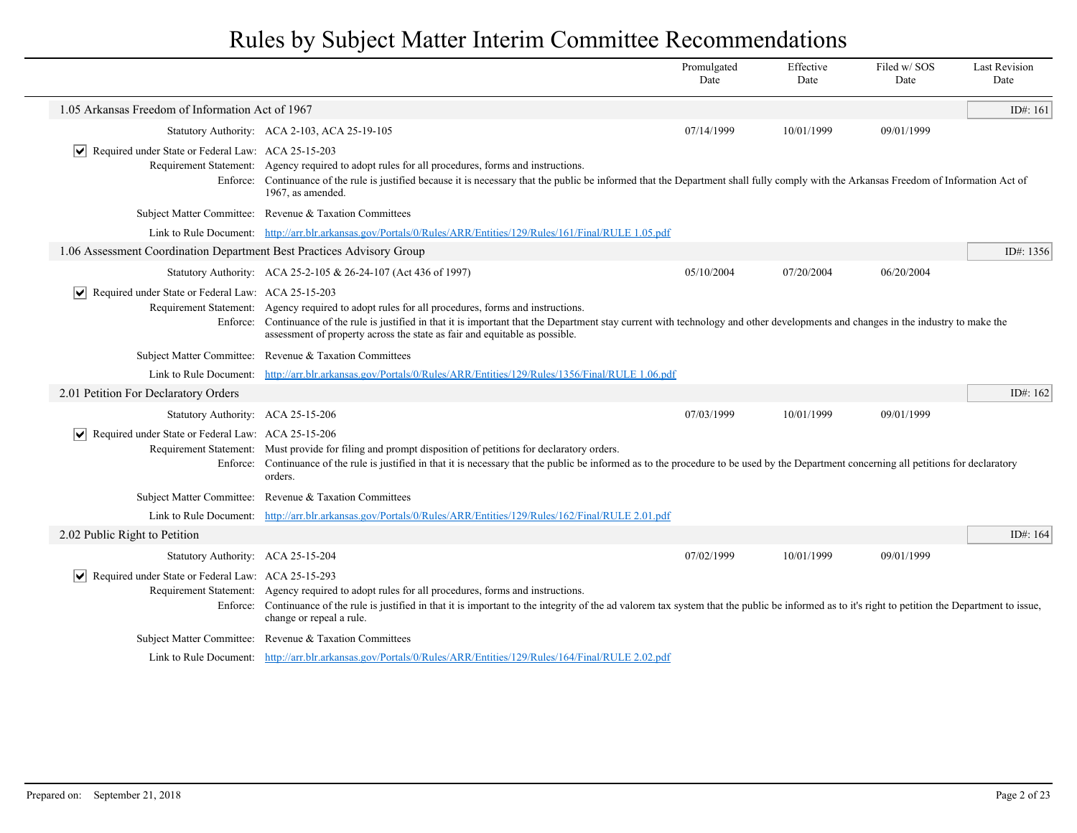|                                                                                       |                                                                                                                                                                                                                                                                                                                                                                          | Promulgated<br>Date | Effective<br>Date | Filed w/SOS<br>Date | <b>Last Revision</b><br>Date |
|---------------------------------------------------------------------------------------|--------------------------------------------------------------------------------------------------------------------------------------------------------------------------------------------------------------------------------------------------------------------------------------------------------------------------------------------------------------------------|---------------------|-------------------|---------------------|------------------------------|
| 1.05 Arkansas Freedom of Information Act of 1967                                      |                                                                                                                                                                                                                                                                                                                                                                          |                     |                   |                     | ID#: 161                     |
|                                                                                       | Statutory Authority: ACA 2-103, ACA 25-19-105                                                                                                                                                                                                                                                                                                                            | 07/14/1999          | 10/01/1999        | 09/01/1999          |                              |
| Required under State or Federal Law: ACA 25-15-203<br>$\vert \bm \vee \vert$          |                                                                                                                                                                                                                                                                                                                                                                          |                     |                   |                     |                              |
| Enforce:                                                                              | Requirement Statement: Agency required to adopt rules for all procedures, forms and instructions.<br>Continuance of the rule is justified because it is necessary that the public be informed that the Department shall fully comply with the Arkansas Freedom of Information Act of<br>1967, as amended.                                                                |                     |                   |                     |                              |
|                                                                                       | Subject Matter Committee: Revenue & Taxation Committees                                                                                                                                                                                                                                                                                                                  |                     |                   |                     |                              |
|                                                                                       | Link to Rule Document: http://arr.blr.arkansas.gov/Portals/0/Rules/ARR/Entities/129/Rules/161/Final/RULE 1.05.pdf                                                                                                                                                                                                                                                        |                     |                   |                     |                              |
| 1.06 Assessment Coordination Department Best Practices Advisory Group                 |                                                                                                                                                                                                                                                                                                                                                                          |                     |                   |                     | ID#: 1356                    |
|                                                                                       | Statutory Authority: ACA 25-2-105 & 26-24-107 (Act 436 of 1997)                                                                                                                                                                                                                                                                                                          | 05/10/2004          | 07/20/2004        | 06/20/2004          |                              |
| $\overline{\mathsf{v}}$<br>Required under State or Federal Law: ACA 25-15-203         | Requirement Statement: Agency required to adopt rules for all procedures, forms and instructions.<br>Enforce: Continuance of the rule is justified in that it is important that the Department stay current with technology and other developments and changes in the industry to make the<br>assessment of property across the state as fair and equitable as possible. |                     |                   |                     |                              |
|                                                                                       | Subject Matter Committee: Revenue & Taxation Committees                                                                                                                                                                                                                                                                                                                  |                     |                   |                     |                              |
| Link to Rule Document:                                                                | http://arr.blr.arkansas.gov/Portals/0/Rules/ARR/Entities/129/Rules/1356/Final/RULE 1.06.pdf                                                                                                                                                                                                                                                                              |                     |                   |                     |                              |
| 2.01 Petition For Declaratory Orders                                                  |                                                                                                                                                                                                                                                                                                                                                                          |                     |                   |                     | ID#: $162$                   |
| Statutory Authority: ACA 25-15-206                                                    |                                                                                                                                                                                                                                                                                                                                                                          | 07/03/1999          | 10/01/1999        | 09/01/1999          |                              |
| $ \bm{\mathsf{v}} $<br>Required under State or Federal Law: ACA 25-15-206<br>Enforce: | Requirement Statement: Must provide for filing and prompt disposition of petitions for declaratory orders.<br>Continuance of the rule is justified in that it is necessary that the public be informed as to the procedure to be used by the Department concerning all petitions for declaratory<br>orders.                                                              |                     |                   |                     |                              |
|                                                                                       | Subject Matter Committee: Revenue & Taxation Committees                                                                                                                                                                                                                                                                                                                  |                     |                   |                     |                              |
|                                                                                       | Link to Rule Document: http://arr.blr.arkansas.gov/Portals/0/Rules/ARR/Entities/129/Rules/162/Final/RULE 2.01.pdf                                                                                                                                                                                                                                                        |                     |                   |                     |                              |
| 2.02 Public Right to Petition                                                         |                                                                                                                                                                                                                                                                                                                                                                          |                     |                   |                     | ID#: 164                     |
| Statutory Authority: ACA 25-15-204                                                    |                                                                                                                                                                                                                                                                                                                                                                          | 07/02/1999          | 10/01/1999        | 09/01/1999          |                              |
| $ \mathbf{v} $ Required under State or Federal Law: ACA 25-15-293                     | Requirement Statement: Agency required to adopt rules for all procedures, forms and instructions.<br>Enforce: Continuance of the rule is justified in that it is important to the integrity of the ad valorem tax system that the public be informed as to it's right to petition the Department to issue,<br>change or repeal a rule.                                   |                     |                   |                     |                              |
|                                                                                       | Subject Matter Committee: Revenue & Taxation Committees                                                                                                                                                                                                                                                                                                                  |                     |                   |                     |                              |
|                                                                                       | Link to Rule Document: http://arr.blr.arkansas.gov/Portals/0/Rules/ARR/Entities/129/Rules/164/Final/RULE 2.02.pdf                                                                                                                                                                                                                                                        |                     |                   |                     |                              |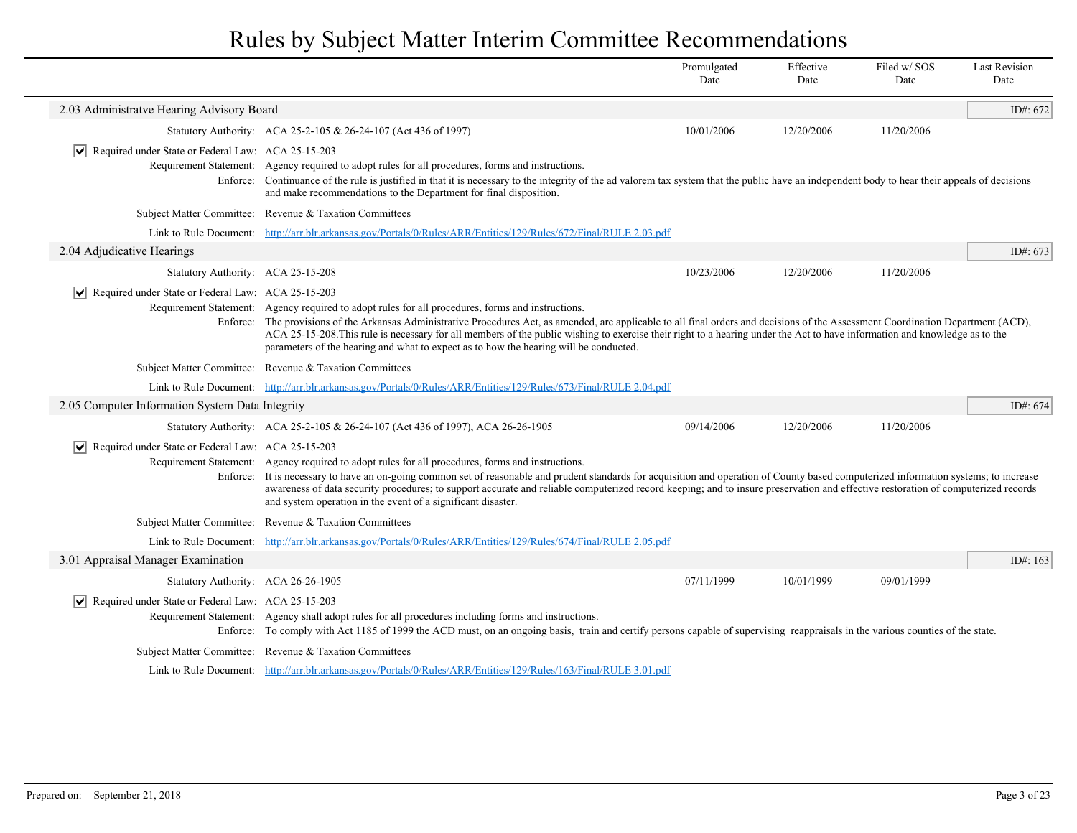|                                                                     |                                                                                                                                                                                                                                                                                                                                                                                                                                                                                                                                                                  | Promulgated<br>Date | Effective<br>Date | Filed w/ SOS<br>Date | <b>Last Revision</b><br>Date |
|---------------------------------------------------------------------|------------------------------------------------------------------------------------------------------------------------------------------------------------------------------------------------------------------------------------------------------------------------------------------------------------------------------------------------------------------------------------------------------------------------------------------------------------------------------------------------------------------------------------------------------------------|---------------------|-------------------|----------------------|------------------------------|
| 2.03 Administratve Hearing Advisory Board                           |                                                                                                                                                                                                                                                                                                                                                                                                                                                                                                                                                                  |                     |                   |                      | ID#: 672                     |
|                                                                     | Statutory Authority: ACA 25-2-105 & 26-24-107 (Act 436 of 1997)                                                                                                                                                                                                                                                                                                                                                                                                                                                                                                  | 10/01/2006          | 12/20/2006        | 11/20/2006           |                              |
| $\triangleright$ Required under State or Federal Law: ACA 25-15-203 | Requirement Statement: Agency required to adopt rules for all procedures, forms and instructions.<br>Enforce: Continuance of the rule is justified in that it is necessary to the integrity of the ad valorem tax system that the public have an independent body to hear their appeals of decisions<br>and make recommendations to the Department for final disposition.                                                                                                                                                                                        |                     |                   |                      |                              |
|                                                                     | Subject Matter Committee: Revenue & Taxation Committees                                                                                                                                                                                                                                                                                                                                                                                                                                                                                                          |                     |                   |                      |                              |
|                                                                     | Link to Rule Document: http://arr.blr.arkansas.gov/Portals/0/Rules/ARR/Entities/129/Rules/672/Final/RULE 2.03.pdf                                                                                                                                                                                                                                                                                                                                                                                                                                                |                     |                   |                      |                              |
| 2.04 Adjudicative Hearings                                          |                                                                                                                                                                                                                                                                                                                                                                                                                                                                                                                                                                  |                     |                   |                      | ID#: $673$                   |
| Statutory Authority: ACA 25-15-208                                  |                                                                                                                                                                                                                                                                                                                                                                                                                                                                                                                                                                  | 10/23/2006          | 12/20/2006        | 11/20/2006           |                              |
| ∣V∣<br>Required under State or Federal Law: ACA 25-15-203           | Requirement Statement: Agency required to adopt rules for all procedures, forms and instructions.<br>Enforce: The provisions of the Arkansas Administrative Procedures Act, as amended, are applicable to all final orders and decisions of the Assessment Coordination Department (ACD),<br>ACA 25-15-208. This rule is necessary for all members of the public wishing to exercise their right to a hearing under the Act to have information and knowledge as to the<br>parameters of the hearing and what to expect as to how the hearing will be conducted. |                     |                   |                      |                              |
|                                                                     | Subject Matter Committee: Revenue & Taxation Committees                                                                                                                                                                                                                                                                                                                                                                                                                                                                                                          |                     |                   |                      |                              |
|                                                                     | Link to Rule Document: http://arr.blr.arkansas.gov/Portals/0/Rules/ARR/Entities/129/Rules/673/Final/RULE 2.04.pdf                                                                                                                                                                                                                                                                                                                                                                                                                                                |                     |                   |                      |                              |
| 2.05 Computer Information System Data Integrity                     |                                                                                                                                                                                                                                                                                                                                                                                                                                                                                                                                                                  |                     |                   |                      | ID#: $674$                   |
|                                                                     | Statutory Authority: ACA 25-2-105 & 26-24-107 (Act 436 of 1997), ACA 26-26-1905                                                                                                                                                                                                                                                                                                                                                                                                                                                                                  | 09/14/2006          | 12/20/2006        | 11/20/2006           |                              |
| $ \mathbf{v} $ Required under State or Federal Law: ACA 25-15-203   | Requirement Statement: Agency required to adopt rules for all procedures, forms and instructions.<br>Enforce: It is necessary to have an on-going common set of reasonable and prudent standards for acquisition and operation of County based computerized information systems; to increase<br>awareness of data security procedures; to support accurate and reliable computerized record keeping; and to insure preservation and effective restoration of computerized records<br>and system operation in the event of a significant disaster.                |                     |                   |                      |                              |
| Subject Matter Committee:                                           | Revenue & Taxation Committees                                                                                                                                                                                                                                                                                                                                                                                                                                                                                                                                    |                     |                   |                      |                              |
| Link to Rule Document:                                              | http://arr.blr.arkansas.gov/Portals/0/Rules/ARR/Entities/129/Rules/674/Final/RULE 2.05.pdf                                                                                                                                                                                                                                                                                                                                                                                                                                                                       |                     |                   |                      |                              |
| 3.01 Appraisal Manager Examination                                  |                                                                                                                                                                                                                                                                                                                                                                                                                                                                                                                                                                  |                     |                   |                      | ID#: $163$                   |
| Statutory Authority: ACA 26-26-1905                                 |                                                                                                                                                                                                                                                                                                                                                                                                                                                                                                                                                                  | 07/11/1999          | 10/01/1999        | 09/01/1999           |                              |
| Required under State or Federal Law: ACA 25-15-203<br>∣V∣           | Requirement Statement: Agency shall adopt rules for all procedures including forms and instructions.<br>Enforce: To comply with Act 1185 of 1999 the ACD must, on an ongoing basis, train and certify persons capable of supervising reappraisals in the various counties of the state.                                                                                                                                                                                                                                                                          |                     |                   |                      |                              |
|                                                                     | Subject Matter Committee: Revenue & Taxation Committees                                                                                                                                                                                                                                                                                                                                                                                                                                                                                                          |                     |                   |                      |                              |
|                                                                     | Link to Rule Document: http://arr.blr.arkansas.gov/Portals/0/Rules/ARR/Entities/129/Rules/163/Final/RULE 3.01.pdf                                                                                                                                                                                                                                                                                                                                                                                                                                                |                     |                   |                      |                              |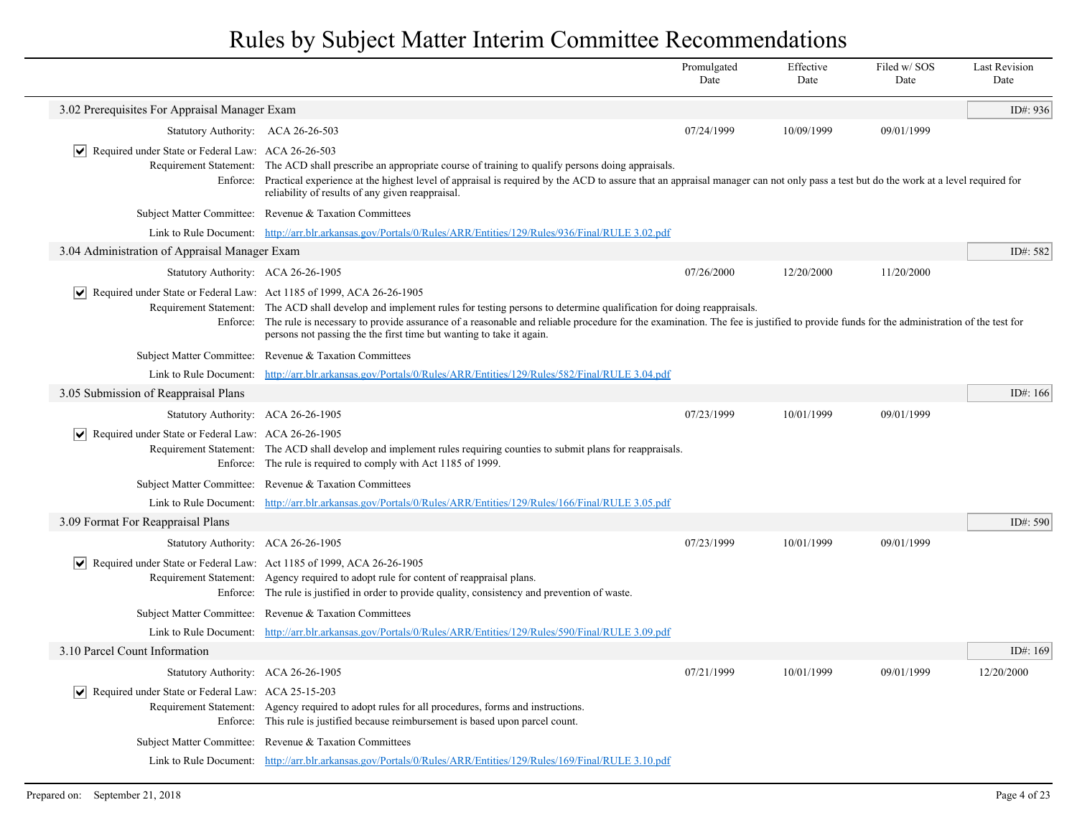|                                                                                      |                                                                                                                                                                                                                                                                                                                                                                                                                 | Promulgated<br>Date | Effective<br>Date | Filed w/SOS<br>Date | <b>Last Revision</b><br>Date |
|--------------------------------------------------------------------------------------|-----------------------------------------------------------------------------------------------------------------------------------------------------------------------------------------------------------------------------------------------------------------------------------------------------------------------------------------------------------------------------------------------------------------|---------------------|-------------------|---------------------|------------------------------|
| 3.02 Prerequisites For Appraisal Manager Exam                                        |                                                                                                                                                                                                                                                                                                                                                                                                                 |                     |                   |                     | ID#: 936                     |
| Statutory Authority: ACA 26-26-503                                                   |                                                                                                                                                                                                                                                                                                                                                                                                                 | 07/24/1999          | 10/09/1999        | 09/01/1999          |                              |
| $ \mathbf{v} $ Required under State or Federal Law: ACA 26-26-503                    | Requirement Statement: The ACD shall prescribe an appropriate course of training to qualify persons doing appraisals.<br>Enforce: Practical experience at the highest level of appraisal is required by the ACD to assure that an appraisal manager can not only pass a test but do the work at a level required for<br>reliability of results of any given reappraisal.                                        |                     |                   |                     |                              |
|                                                                                      | Subject Matter Committee: Revenue & Taxation Committees                                                                                                                                                                                                                                                                                                                                                         |                     |                   |                     |                              |
|                                                                                      | Link to Rule Document: http://arr.blr.arkansas.gov/Portals/0/Rules/ARR/Entities/129/Rules/936/Final/RULE 3.02.pdf                                                                                                                                                                                                                                                                                               |                     |                   |                     |                              |
| 3.04 Administration of Appraisal Manager Exam                                        |                                                                                                                                                                                                                                                                                                                                                                                                                 |                     |                   |                     | ID#: 582                     |
| Statutory Authority: ACA 26-26-1905                                                  |                                                                                                                                                                                                                                                                                                                                                                                                                 | 07/26/2000          | 12/20/2000        | 11/20/2000          |                              |
| Required under State or Federal Law: Act 1185 of 1999, ACA 26-26-1905                | Requirement Statement: The ACD shall develop and implement rules for testing persons to determine qualification for doing reappraisals.<br>Enforce: The rule is necessary to provide assurance of a reasonable and reliable procedure for the examination. The fee is justified to provide funds for the administration of the test for<br>persons not passing the the first time but wanting to take it again. |                     |                   |                     |                              |
|                                                                                      | Subject Matter Committee: Revenue & Taxation Committees                                                                                                                                                                                                                                                                                                                                                         |                     |                   |                     |                              |
|                                                                                      | Link to Rule Document: http://arr.blr.arkansas.gov/Portals/0/Rules/ARR/Entities/129/Rules/582/Final/RULE 3.04.pdf                                                                                                                                                                                                                                                                                               |                     |                   |                     |                              |
| 3.05 Submission of Reappraisal Plans                                                 |                                                                                                                                                                                                                                                                                                                                                                                                                 |                     |                   |                     | ID#: $166$                   |
| Statutory Authority: ACA 26-26-1905                                                  |                                                                                                                                                                                                                                                                                                                                                                                                                 | 07/23/1999          | 10/01/1999        | 09/01/1999          |                              |
| $ \mathbf{v} $ Required under State or Federal Law: ACA 26-26-1905                   | Requirement Statement: The ACD shall develop and implement rules requiring counties to submit plans for reappraisals.<br>Enforce: The rule is required to comply with Act 1185 of 1999.                                                                                                                                                                                                                         |                     |                   |                     |                              |
|                                                                                      | Subject Matter Committee: Revenue & Taxation Committees                                                                                                                                                                                                                                                                                                                                                         |                     |                   |                     |                              |
|                                                                                      | Link to Rule Document: http://arr.blr.arkansas.gov/Portals/0/Rules/ARR/Entities/129/Rules/166/Final/RULE 3.05.pdf                                                                                                                                                                                                                                                                                               |                     |                   |                     |                              |
| 3.09 Format For Reappraisal Plans                                                    |                                                                                                                                                                                                                                                                                                                                                                                                                 |                     |                   |                     | ID#: 590                     |
| Statutory Authority: ACA 26-26-1905                                                  |                                                                                                                                                                                                                                                                                                                                                                                                                 | 07/23/1999          | 10/01/1999        | 09/01/1999          |                              |
| $ \mathbf{v} $ Required under State or Federal Law: Act 1185 of 1999, ACA 26-26-1905 | Requirement Statement: Agency required to adopt rule for content of reappraisal plans.<br>Enforce: The rule is justified in order to provide quality, consistency and prevention of waste.                                                                                                                                                                                                                      |                     |                   |                     |                              |
|                                                                                      | Subject Matter Committee: Revenue & Taxation Committees                                                                                                                                                                                                                                                                                                                                                         |                     |                   |                     |                              |
|                                                                                      | Link to Rule Document: http://arr.blr.arkansas.gov/Portals/0/Rules/ARR/Entities/129/Rules/590/Final/RULE 3.09.pdf                                                                                                                                                                                                                                                                                               |                     |                   |                     |                              |
| 3.10 Parcel Count Information                                                        |                                                                                                                                                                                                                                                                                                                                                                                                                 |                     |                   |                     | ID#: $169$                   |
| Statutory Authority: ACA 26-26-1905                                                  |                                                                                                                                                                                                                                                                                                                                                                                                                 | 07/21/1999          | 10/01/1999        | 09/01/1999          | 12/20/2000                   |
| $ \mathbf{v} $ Required under State or Federal Law: ACA 25-15-203                    | Requirement Statement: Agency required to adopt rules for all procedures, forms and instructions.<br>Enforce: This rule is justified because reimbursement is based upon parcel count.                                                                                                                                                                                                                          |                     |                   |                     |                              |
|                                                                                      | Subject Matter Committee: Revenue & Taxation Committees                                                                                                                                                                                                                                                                                                                                                         |                     |                   |                     |                              |
|                                                                                      | Link to Rule Document: http://arr.blr.arkansas.gov/Portals/0/Rules/ARR/Entities/129/Rules/169/Final/RULE 3.10.pdf                                                                                                                                                                                                                                                                                               |                     |                   |                     |                              |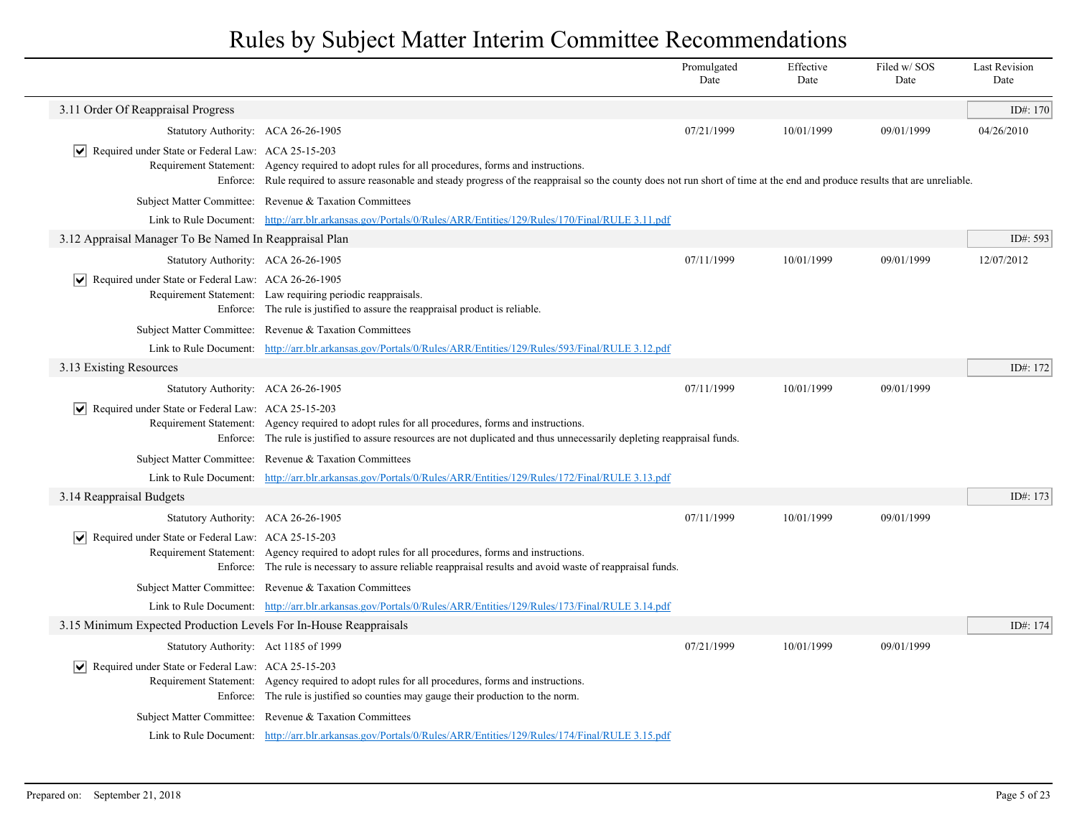|                                                                     |                                                                                                                                                                                                                                                                                      | Promulgated<br>Date | Effective<br>Date | Filed w/SOS<br>Date | <b>Last Revision</b><br>Date |
|---------------------------------------------------------------------|--------------------------------------------------------------------------------------------------------------------------------------------------------------------------------------------------------------------------------------------------------------------------------------|---------------------|-------------------|---------------------|------------------------------|
| 3.11 Order Of Reappraisal Progress                                  |                                                                                                                                                                                                                                                                                      |                     |                   |                     | ID#: 170                     |
| Statutory Authority: ACA 26-26-1905                                 |                                                                                                                                                                                                                                                                                      | 07/21/1999          | 10/01/1999        | 09/01/1999          | 04/26/2010                   |
| $ \mathbf{v} $ Required under State or Federal Law: ACA 25-15-203   | Requirement Statement: Agency required to adopt rules for all procedures, forms and instructions.<br>Enforce: Rule required to assure reasonable and steady progress of the reappraisal so the county does not run short of time at the end and produce results that are unreliable. |                     |                   |                     |                              |
|                                                                     | Subject Matter Committee: Revenue & Taxation Committees                                                                                                                                                                                                                              |                     |                   |                     |                              |
|                                                                     | Link to Rule Document: http://arr.blr.arkansas.gov/Portals/0/Rules/ARR/Entities/129/Rules/170/Final/RULE 3.11.pdf                                                                                                                                                                    |                     |                   |                     |                              |
| 3.12 Appraisal Manager To Be Named In Reappraisal Plan              |                                                                                                                                                                                                                                                                                      |                     |                   |                     | ID#: 593                     |
| Statutory Authority: ACA 26-26-1905                                 |                                                                                                                                                                                                                                                                                      | 07/11/1999          | 10/01/1999        | 09/01/1999          | 12/07/2012                   |
| Required under State or Federal Law: ACA 26-26-1905                 | Requirement Statement: Law requiring periodic reappraisals.<br>Enforce: The rule is justified to assure the reappraisal product is reliable.                                                                                                                                         |                     |                   |                     |                              |
|                                                                     | Subject Matter Committee: Revenue & Taxation Committees                                                                                                                                                                                                                              |                     |                   |                     |                              |
|                                                                     | Link to Rule Document: http://arr.blr.arkansas.gov/Portals/0/Rules/ARR/Entities/129/Rules/593/Final/RULE 3.12.pdf                                                                                                                                                                    |                     |                   |                     |                              |
| 3.13 Existing Resources                                             |                                                                                                                                                                                                                                                                                      |                     |                   |                     | ID#: 172                     |
| Statutory Authority: ACA 26-26-1905                                 |                                                                                                                                                                                                                                                                                      | 07/11/1999          | 10/01/1999        | 09/01/1999          |                              |
| Required under State or Federal Law: ACA 25-15-203                  | Requirement Statement: Agency required to adopt rules for all procedures, forms and instructions.<br>Enforce: The rule is justified to assure resources are not duplicated and thus unnecessarily depleting reappraisal funds.                                                       |                     |                   |                     |                              |
|                                                                     | Subject Matter Committee: Revenue & Taxation Committees                                                                                                                                                                                                                              |                     |                   |                     |                              |
|                                                                     | Link to Rule Document: http://arr.blr.arkansas.gov/Portals/0/Rules/ARR/Entities/129/Rules/172/Final/RULE 3.13.pdf                                                                                                                                                                    |                     |                   |                     |                              |
| 3.14 Reappraisal Budgets                                            |                                                                                                                                                                                                                                                                                      |                     |                   |                     | ID#: 173                     |
| Statutory Authority: ACA 26-26-1905                                 |                                                                                                                                                                                                                                                                                      | 07/11/1999          | 10/01/1999        | 09/01/1999          |                              |
| $\triangleright$ Required under State or Federal Law: ACA 25-15-203 | Requirement Statement: Agency required to adopt rules for all procedures, forms and instructions.<br>Enforce: The rule is necessary to assure reliable reappraisal results and avoid waste of reappraisal funds.                                                                     |                     |                   |                     |                              |
|                                                                     | Subject Matter Committee: Revenue & Taxation Committees                                                                                                                                                                                                                              |                     |                   |                     |                              |
|                                                                     | Link to Rule Document: http://arr.blr.arkansas.gov/Portals/0/Rules/ARR/Entities/129/Rules/173/Final/RULE 3.14.pdf                                                                                                                                                                    |                     |                   |                     |                              |
| 3.15 Minimum Expected Production Levels For In-House Reappraisals   |                                                                                                                                                                                                                                                                                      |                     |                   |                     | ID#: 174                     |
| Statutory Authority: Act 1185 of 1999                               |                                                                                                                                                                                                                                                                                      | 07/21/1999          | 10/01/1999        | 09/01/1999          |                              |
| $ \mathbf{v} $ Required under State or Federal Law: ACA 25-15-203   | Requirement Statement: Agency required to adopt rules for all procedures, forms and instructions.<br>Enforce: The rule is justified so counties may gauge their production to the norm.                                                                                              |                     |                   |                     |                              |
|                                                                     | Subject Matter Committee: Revenue & Taxation Committees                                                                                                                                                                                                                              |                     |                   |                     |                              |
|                                                                     | Link to Rule Document: http://arr.blr.arkansas.gov/Portals/0/Rules/ARR/Entities/129/Rules/174/Final/RULE 3.15.pdf                                                                                                                                                                    |                     |                   |                     |                              |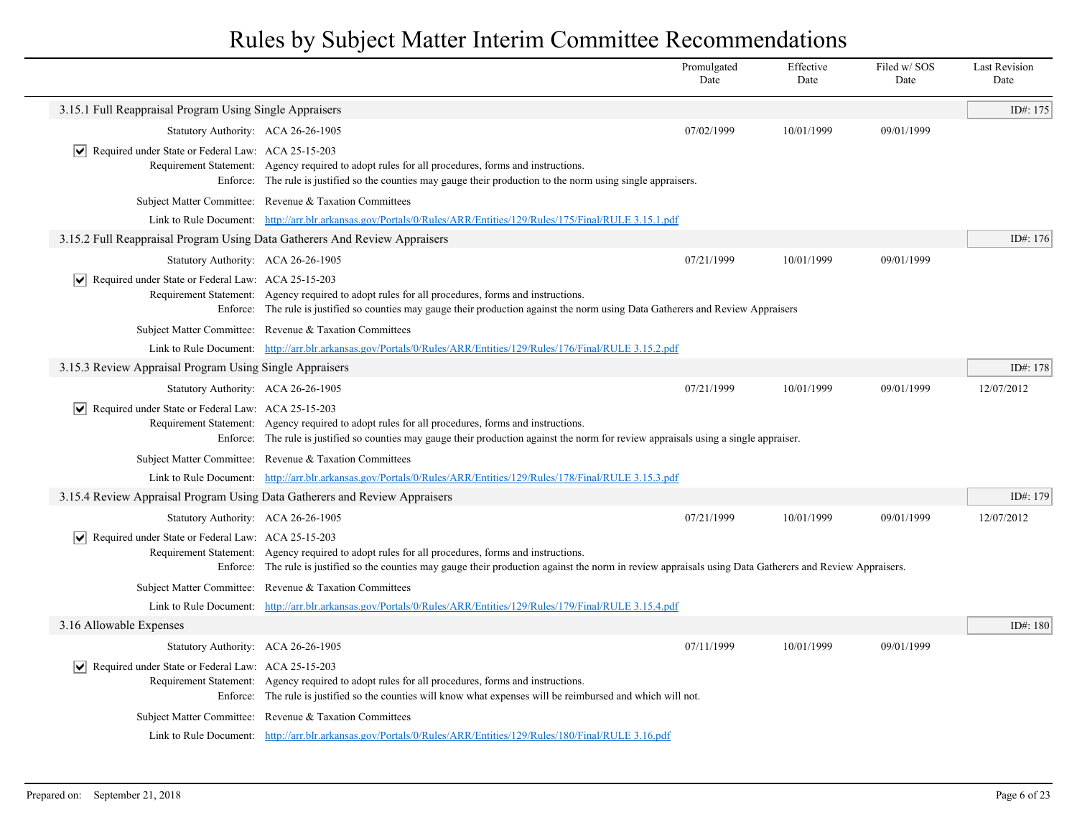|                                                                            |                                                                                                                                                                                                                                                                  | Promulgated<br>Date | Effective<br>Date | Filed w/ SOS<br>Date | <b>Last Revision</b><br>Date |
|----------------------------------------------------------------------------|------------------------------------------------------------------------------------------------------------------------------------------------------------------------------------------------------------------------------------------------------------------|---------------------|-------------------|----------------------|------------------------------|
| 3.15.1 Full Reappraisal Program Using Single Appraisers                    |                                                                                                                                                                                                                                                                  |                     |                   |                      | ID#: 175                     |
| Statutory Authority: ACA 26-26-1905                                        |                                                                                                                                                                                                                                                                  | 07/02/1999          | 10/01/1999        | 09/01/1999           |                              |
| $ \mathbf{v} $ Required under State or Federal Law: ACA 25-15-203          | Requirement Statement: Agency required to adopt rules for all procedures, forms and instructions.<br>Enforce: The rule is justified so the counties may gauge their production to the norm using single appraisers.                                              |                     |                   |                      |                              |
|                                                                            | Subject Matter Committee: Revenue & Taxation Committees                                                                                                                                                                                                          |                     |                   |                      |                              |
|                                                                            | Link to Rule Document: http://arr.blr.arkansas.gov/Portals/0/Rules/ARR/Entities/129/Rules/175/Final/RULE 3.15.1.pdf                                                                                                                                              |                     |                   |                      |                              |
| 3.15.2 Full Reappraisal Program Using Data Gatherers And Review Appraisers |                                                                                                                                                                                                                                                                  |                     |                   |                      | ID#: 176                     |
| Statutory Authority: ACA 26-26-1905                                        |                                                                                                                                                                                                                                                                  | 07/21/1999          | 10/01/1999        | 09/01/1999           |                              |
| $ \mathbf{v} $ Required under State or Federal Law: ACA 25-15-203          | Requirement Statement: Agency required to adopt rules for all procedures, forms and instructions.<br>Enforce: The rule is justified so counties may gauge their production against the norm using Data Gatherers and Review Appraisers                           |                     |                   |                      |                              |
|                                                                            | Subject Matter Committee: Revenue & Taxation Committees                                                                                                                                                                                                          |                     |                   |                      |                              |
|                                                                            | Link to Rule Document: http://arr.blr.arkansas.gov/Portals/0/Rules/ARR/Entities/129/Rules/176/Final/RULE 3.15.2.pdf                                                                                                                                              |                     |                   |                      |                              |
| 3.15.3 Review Appraisal Program Using Single Appraisers                    |                                                                                                                                                                                                                                                                  |                     |                   |                      | ID#: 178                     |
| Statutory Authority: ACA 26-26-1905                                        |                                                                                                                                                                                                                                                                  | 07/21/1999          | 10/01/1999        | 09/01/1999           | 12/07/2012                   |
| $\triangledown$ Required under State or Federal Law: ACA 25-15-203         | Requirement Statement: Agency required to adopt rules for all procedures, forms and instructions.<br>Enforce: The rule is justified so counties may gauge their production against the norm for review appraisals using a single appraiser.                      |                     |                   |                      |                              |
|                                                                            | Subject Matter Committee: Revenue & Taxation Committees                                                                                                                                                                                                          |                     |                   |                      |                              |
|                                                                            | Link to Rule Document: http://arr.blr.arkansas.gov/Portals/0/Rules/ARR/Entities/129/Rules/178/Final/RULE 3.15.3.pdf                                                                                                                                              |                     |                   |                      |                              |
| 3.15.4 Review Appraisal Program Using Data Gatherers and Review Appraisers |                                                                                                                                                                                                                                                                  |                     |                   |                      | ID#: 179                     |
| Statutory Authority: ACA 26-26-1905                                        |                                                                                                                                                                                                                                                                  | 07/21/1999          | 10/01/1999        | 09/01/1999           | 12/07/2012                   |
| $ \mathbf{v} $ Required under State or Federal Law: ACA 25-15-203          | Requirement Statement: Agency required to adopt rules for all procedures, forms and instructions.<br>Enforce: The rule is justified so the counties may gauge their production against the norm in review appraisals using Data Gatherers and Review Appraisers. |                     |                   |                      |                              |
|                                                                            | Subject Matter Committee: Revenue & Taxation Committees                                                                                                                                                                                                          |                     |                   |                      |                              |
|                                                                            | Link to Rule Document: http://arr.blr.arkansas.gov/Portals/0/Rules/ARR/Entities/129/Rules/179/Final/RULE 3.15.4.pdf                                                                                                                                              |                     |                   |                      |                              |
| 3.16 Allowable Expenses                                                    |                                                                                                                                                                                                                                                                  |                     |                   |                      | ID#: 180                     |
| Statutory Authority: ACA 26-26-1905                                        |                                                                                                                                                                                                                                                                  | 07/11/1999          | 10/01/1999        | 09/01/1999           |                              |
| $ \mathbf{v} $ Required under State or Federal Law: ACA 25-15-203          | Requirement Statement: Agency required to adopt rules for all procedures, forms and instructions.<br>Enforce: The rule is justified so the counties will know what expenses will be reimbursed and which will not.                                               |                     |                   |                      |                              |
|                                                                            | Subject Matter Committee: Revenue & Taxation Committees                                                                                                                                                                                                          |                     |                   |                      |                              |
|                                                                            | Link to Rule Document: http://arr.blr.arkansas.gov/Portals/0/Rules/ARR/Entities/129/Rules/180/Final/RULE 3.16.pdf                                                                                                                                                |                     |                   |                      |                              |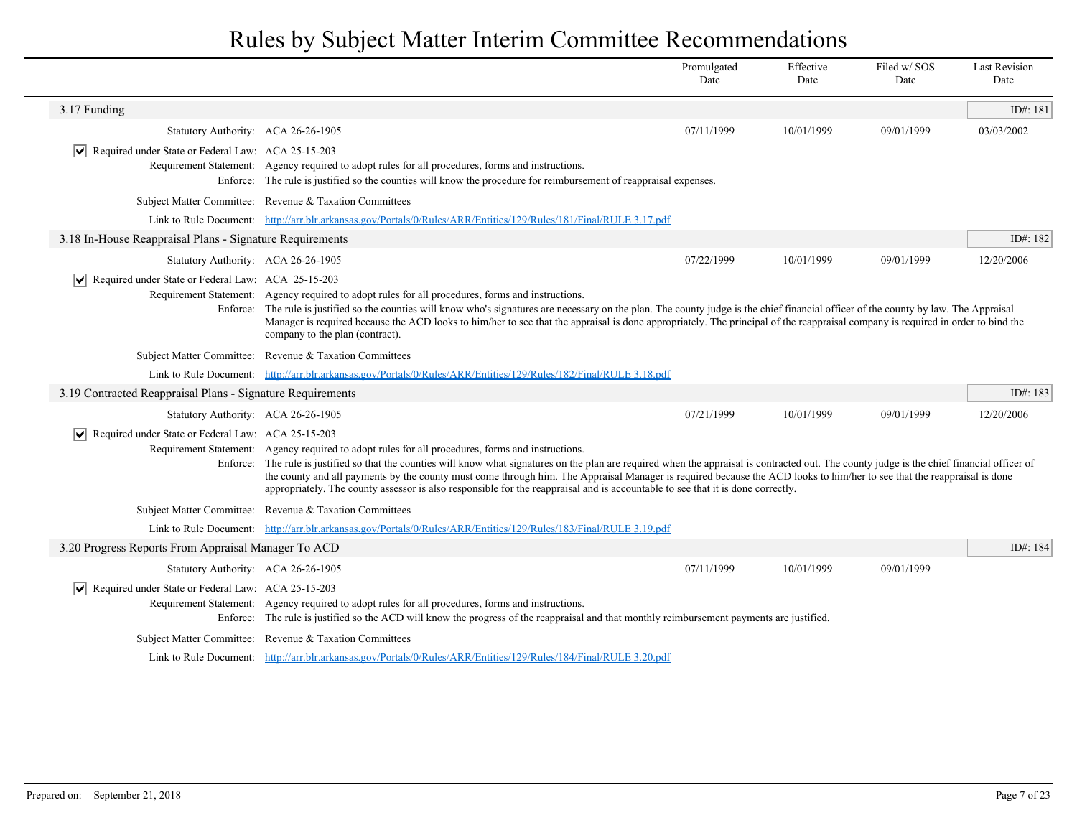|                                                                                   |                                                                                                                                                                                                                                                                                                                                                                                                                                                                                                                                                                                                                    | Promulgated<br>Date | Effective<br>Date | Filed w/SOS<br>Date | <b>Last Revision</b><br>Date |
|-----------------------------------------------------------------------------------|--------------------------------------------------------------------------------------------------------------------------------------------------------------------------------------------------------------------------------------------------------------------------------------------------------------------------------------------------------------------------------------------------------------------------------------------------------------------------------------------------------------------------------------------------------------------------------------------------------------------|---------------------|-------------------|---------------------|------------------------------|
| 3.17 Funding                                                                      |                                                                                                                                                                                                                                                                                                                                                                                                                                                                                                                                                                                                                    |                     |                   |                     | ID#: 181                     |
| Statutory Authority: ACA 26-26-1905                                               |                                                                                                                                                                                                                                                                                                                                                                                                                                                                                                                                                                                                                    | 07/11/1999          | 10/01/1999        | 09/01/1999          | 03/03/2002                   |
| Required under State or Federal Law: ACA 25-15-203                                | Requirement Statement: Agency required to adopt rules for all procedures, forms and instructions.<br>Enforce: The rule is justified so the counties will know the procedure for reimbursement of reappraisal expenses.                                                                                                                                                                                                                                                                                                                                                                                             |                     |                   |                     |                              |
|                                                                                   | Subject Matter Committee: Revenue & Taxation Committees                                                                                                                                                                                                                                                                                                                                                                                                                                                                                                                                                            |                     |                   |                     |                              |
|                                                                                   | Link to Rule Document: http://arr.blr.arkansas.gov/Portals/0/Rules/ARR/Entities/129/Rules/181/Final/RULE 3.17.pdf                                                                                                                                                                                                                                                                                                                                                                                                                                                                                                  |                     |                   |                     |                              |
| 3.18 In-House Reappraisal Plans - Signature Requirements                          |                                                                                                                                                                                                                                                                                                                                                                                                                                                                                                                                                                                                                    |                     |                   |                     | ID#: 182                     |
| Statutory Authority: ACA 26-26-1905                                               |                                                                                                                                                                                                                                                                                                                                                                                                                                                                                                                                                                                                                    | 07/22/1999          | 10/01/1999        | 09/01/1999          | 12/20/2006                   |
| Required under State or Federal Law: ACA 25-15-203<br>$\vert\bm{\mathsf{v}}\vert$ | Requirement Statement: Agency required to adopt rules for all procedures, forms and instructions.<br>Enforce: The rule is justified so the counties will know who's signatures are necessary on the plan. The county judge is the chief financial officer of the county by law. The Appraisal<br>Manager is required because the ACD looks to him/her to see that the appraisal is done appropriately. The principal of the reappraisal company is required in order to bind the<br>company to the plan (contract).                                                                                                |                     |                   |                     |                              |
|                                                                                   | Subject Matter Committee: Revenue & Taxation Committees                                                                                                                                                                                                                                                                                                                                                                                                                                                                                                                                                            |                     |                   |                     |                              |
|                                                                                   | Link to Rule Document: http://arr.blr.arkansas.gov/Portals/0/Rules/ARR/Entities/129/Rules/182/Final/RULE 3.18.pdf                                                                                                                                                                                                                                                                                                                                                                                                                                                                                                  |                     |                   |                     |                              |
| 3.19 Contracted Reappraisal Plans - Signature Requirements                        |                                                                                                                                                                                                                                                                                                                                                                                                                                                                                                                                                                                                                    |                     |                   |                     | ID#: 183                     |
| Statutory Authority: ACA 26-26-1905                                               |                                                                                                                                                                                                                                                                                                                                                                                                                                                                                                                                                                                                                    | 07/21/1999          | 10/01/1999        | 09/01/1999          | 12/20/2006                   |
| $ \bm{\mathsf{v}} $<br>Required under State or Federal Law: ACA 25-15-203         | Requirement Statement: Agency required to adopt rules for all procedures, forms and instructions.<br>Enforce: The rule is justified so that the counties will know what signatures on the plan are required when the appraisal is contracted out. The county judge is the chief financial officer of<br>the county and all payments by the county must come through him. The Appraisal Manager is required because the ACD looks to him/her to see that the reappraisal is done<br>appropriately. The county assessor is also responsible for the reappraisal and is accountable to see that it is done correctly. |                     |                   |                     |                              |
|                                                                                   | Subject Matter Committee: Revenue & Taxation Committees                                                                                                                                                                                                                                                                                                                                                                                                                                                                                                                                                            |                     |                   |                     |                              |
|                                                                                   | Link to Rule Document: http://arr.blr.arkansas.gov/Portals/0/Rules/ARR/Entities/129/Rules/183/Final/RULE 3.19.pdf                                                                                                                                                                                                                                                                                                                                                                                                                                                                                                  |                     |                   |                     |                              |
| 3.20 Progress Reports From Appraisal Manager To ACD                               |                                                                                                                                                                                                                                                                                                                                                                                                                                                                                                                                                                                                                    |                     |                   |                     | ID#: 184                     |
| Statutory Authority: ACA 26-26-1905                                               |                                                                                                                                                                                                                                                                                                                                                                                                                                                                                                                                                                                                                    | 07/11/1999          | 10/01/1999        | 09/01/1999          |                              |
| Required under State or Federal Law: ACA 25-15-203<br>$ \bm{\mathsf{v}} $         | Requirement Statement: Agency required to adopt rules for all procedures, forms and instructions.<br>Enforce: The rule is justified so the ACD will know the progress of the reappraisal and that monthly reimbursement payments are justified.                                                                                                                                                                                                                                                                                                                                                                    |                     |                   |                     |                              |
|                                                                                   | Subject Matter Committee: Revenue & Taxation Committees                                                                                                                                                                                                                                                                                                                                                                                                                                                                                                                                                            |                     |                   |                     |                              |
|                                                                                   | Link to Rule Document: http://arr.blr.arkansas.gov/Portals/0/Rules/ARR/Entities/129/Rules/184/Final/RULE 3.20.pdf                                                                                                                                                                                                                                                                                                                                                                                                                                                                                                  |                     |                   |                     |                              |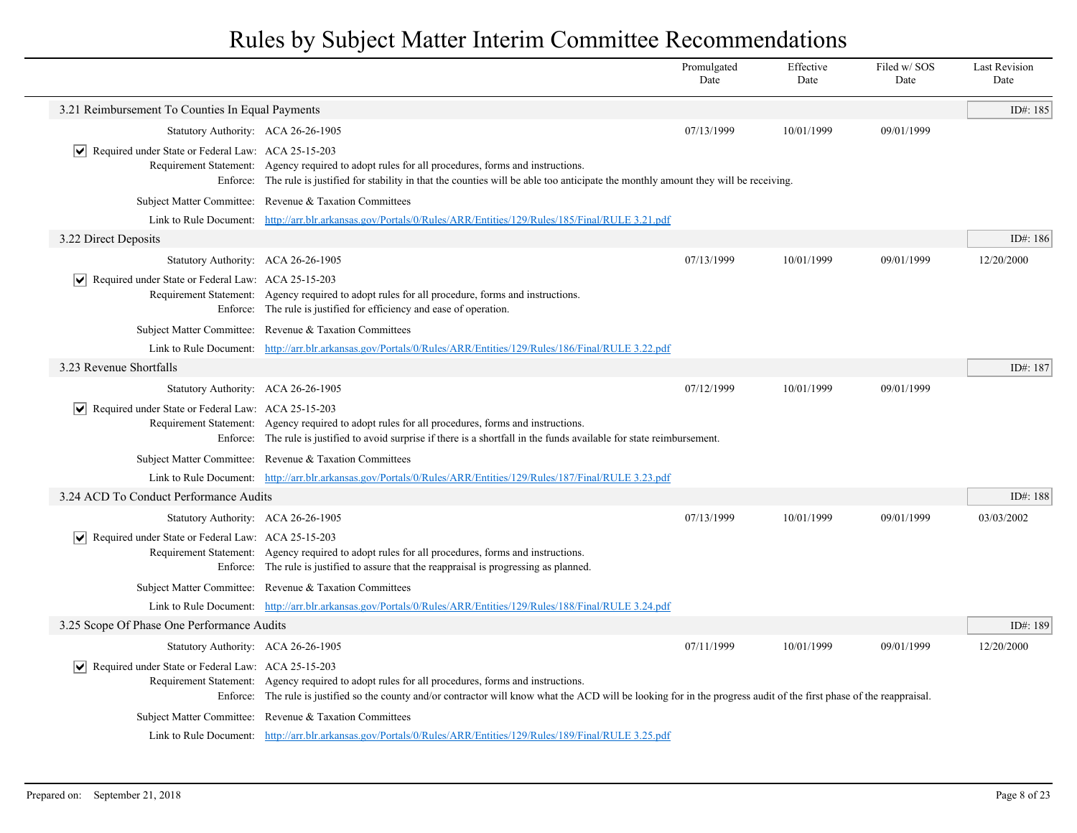|                                                                    |                                                                                                                                                                                                                                                                             | Promulgated<br>Date | Effective<br>Date | Filed w/SOS<br>Date | <b>Last Revision</b><br>Date |
|--------------------------------------------------------------------|-----------------------------------------------------------------------------------------------------------------------------------------------------------------------------------------------------------------------------------------------------------------------------|---------------------|-------------------|---------------------|------------------------------|
| 3.21 Reimbursement To Counties In Equal Payments                   |                                                                                                                                                                                                                                                                             |                     |                   |                     | ID#: 185                     |
| Statutory Authority: ACA 26-26-1905                                |                                                                                                                                                                                                                                                                             | 07/13/1999          | 10/01/1999        | 09/01/1999          |                              |
| $ \mathbf{v} $ Required under State or Federal Law: ACA 25-15-203  | Requirement Statement: Agency required to adopt rules for all procedures, forms and instructions.<br>Enforce: The rule is justified for stability in that the counties will be able too anticipate the monthly amount they will be receiving.                               |                     |                   |                     |                              |
|                                                                    | Subject Matter Committee: Revenue & Taxation Committees                                                                                                                                                                                                                     |                     |                   |                     |                              |
|                                                                    | Link to Rule Document: http://arr.blr.arkansas.gov/Portals/0/Rules/ARR/Entities/129/Rules/185/Final/RULE 3.21.pdf                                                                                                                                                           |                     |                   |                     |                              |
| 3.22 Direct Deposits                                               |                                                                                                                                                                                                                                                                             |                     |                   |                     | ID#: 186                     |
| Statutory Authority: ACA 26-26-1905                                |                                                                                                                                                                                                                                                                             | 07/13/1999          | 10/01/1999        | 09/01/1999          | 12/20/2000                   |
| $ \mathbf{v} $ Required under State or Federal Law: ACA 25-15-203  | Requirement Statement: Agency required to adopt rules for all procedure, forms and instructions.<br>Enforce: The rule is justified for efficiency and ease of operation.                                                                                                    |                     |                   |                     |                              |
|                                                                    | Subject Matter Committee: Revenue & Taxation Committees                                                                                                                                                                                                                     |                     |                   |                     |                              |
|                                                                    | Link to Rule Document: http://arr.blr.arkansas.gov/Portals/0/Rules/ARR/Entities/129/Rules/186/Final/RULE 3.22.pdf                                                                                                                                                           |                     |                   |                     |                              |
| 3.23 Revenue Shortfalls                                            |                                                                                                                                                                                                                                                                             |                     |                   |                     | ID#: 187                     |
| Statutory Authority: ACA 26-26-1905                                |                                                                                                                                                                                                                                                                             | 07/12/1999          | 10/01/1999        | 09/01/1999          |                              |
| $ \mathbf{v} $ Required under State or Federal Law: ACA 25-15-203  | Requirement Statement: Agency required to adopt rules for all procedures, forms and instructions.<br>Enforce: The rule is justified to avoid surprise if there is a shortfall in the funds available for state reimbursement.                                               |                     |                   |                     |                              |
|                                                                    | Subject Matter Committee: Revenue & Taxation Committees                                                                                                                                                                                                                     |                     |                   |                     |                              |
|                                                                    | Link to Rule Document: http://arr.blr.arkansas.gov/Portals/0/Rules/ARR/Entities/129/Rules/187/Final/RULE 3.23.pdf                                                                                                                                                           |                     |                   |                     |                              |
| 3.24 ACD To Conduct Performance Audits                             |                                                                                                                                                                                                                                                                             |                     |                   |                     | ID#: 188                     |
| Statutory Authority: ACA 26-26-1905                                |                                                                                                                                                                                                                                                                             | 07/13/1999          | 10/01/1999        | 09/01/1999          | 03/03/2002                   |
| $\triangledown$ Required under State or Federal Law: ACA 25-15-203 | Requirement Statement: Agency required to adopt rules for all procedures, forms and instructions.<br>Enforce: The rule is justified to assure that the reappraisal is progressing as planned.                                                                               |                     |                   |                     |                              |
|                                                                    | Subject Matter Committee: Revenue & Taxation Committees                                                                                                                                                                                                                     |                     |                   |                     |                              |
|                                                                    | Link to Rule Document: http://arr.blr.arkansas.gov/Portals/0/Rules/ARR/Entities/129/Rules/188/Final/RULE 3.24.pdf                                                                                                                                                           |                     |                   |                     |                              |
| 3.25 Scope Of Phase One Performance Audits                         |                                                                                                                                                                                                                                                                             |                     |                   |                     | ID#: 189                     |
| Statutory Authority: ACA 26-26-1905                                |                                                                                                                                                                                                                                                                             | 07/11/1999          | 10/01/1999        | 09/01/1999          | 12/20/2000                   |
| $ \mathbf{v} $ Required under State or Federal Law: ACA 25-15-203  | Requirement Statement: Agency required to adopt rules for all procedures, forms and instructions.<br>Enforce: The rule is justified so the county and/or contractor will know what the ACD will be looking for in the progress audit of the first phase of the reappraisal. |                     |                   |                     |                              |
|                                                                    | Subject Matter Committee: Revenue & Taxation Committees                                                                                                                                                                                                                     |                     |                   |                     |                              |
|                                                                    | Link to Rule Document: http://arr.blr.arkansas.gov/Portals/0/Rules/ARR/Entities/129/Rules/189/Final/RULE 3.25.pdf                                                                                                                                                           |                     |                   |                     |                              |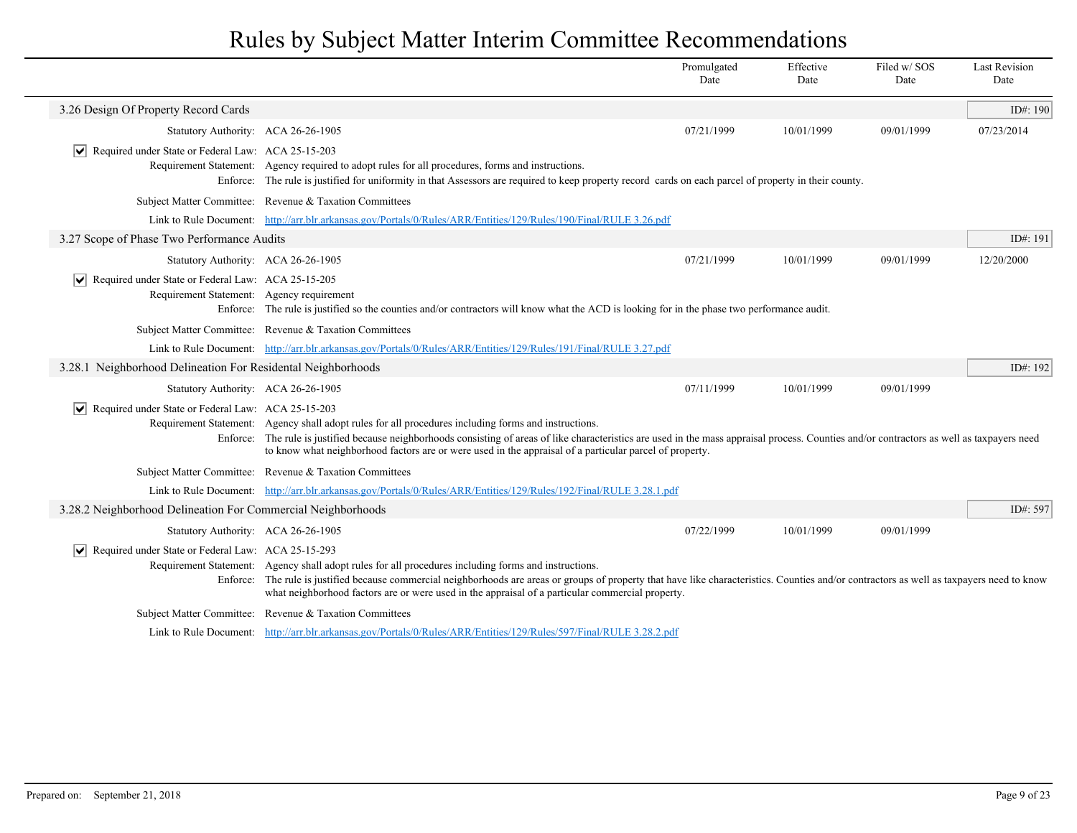|                                                                                                        |                                                                                                                                                                                                                                                                                                                                                                                                                   | Promulgated<br>Date | Effective<br>Date | Filed w/SOS<br>Date | <b>Last Revision</b><br>Date |
|--------------------------------------------------------------------------------------------------------|-------------------------------------------------------------------------------------------------------------------------------------------------------------------------------------------------------------------------------------------------------------------------------------------------------------------------------------------------------------------------------------------------------------------|---------------------|-------------------|---------------------|------------------------------|
| 3.26 Design Of Property Record Cards                                                                   |                                                                                                                                                                                                                                                                                                                                                                                                                   |                     |                   |                     | ID#: 190                     |
| Statutory Authority: ACA 26-26-1905                                                                    |                                                                                                                                                                                                                                                                                                                                                                                                                   | 07/21/1999          | 10/01/1999        | 09/01/1999          | 07/23/2014                   |
| Required under State or Federal Law: ACA 25-15-203<br>∣V∣                                              | Requirement Statement: Agency required to adopt rules for all procedures, forms and instructions.<br>Enforce: The rule is justified for uniformity in that Assessors are required to keep property record cards on each parcel of property in their county.                                                                                                                                                       |                     |                   |                     |                              |
|                                                                                                        | Subject Matter Committee: Revenue & Taxation Committees                                                                                                                                                                                                                                                                                                                                                           |                     |                   |                     |                              |
|                                                                                                        | Link to Rule Document: http://arr.blr.arkansas.gov/Portals/0/Rules/ARR/Entities/129/Rules/190/Final/RULE 3.26.pdf                                                                                                                                                                                                                                                                                                 |                     |                   |                     |                              |
| 3.27 Scope of Phase Two Performance Audits                                                             |                                                                                                                                                                                                                                                                                                                                                                                                                   |                     |                   |                     | ID#: 191                     |
| Statutory Authority: ACA 26-26-1905                                                                    |                                                                                                                                                                                                                                                                                                                                                                                                                   | 07/21/1999          | 10/01/1999        | 09/01/1999          | 12/20/2000                   |
| Required under State or Federal Law: ACA 25-15-205<br>∣V∣<br>Requirement Statement: Agency requirement | Enforce: The rule is justified so the counties and/or contractors will know what the ACD is looking for in the phase two performance audit.                                                                                                                                                                                                                                                                       |                     |                   |                     |                              |
|                                                                                                        | Subject Matter Committee: Revenue & Taxation Committees                                                                                                                                                                                                                                                                                                                                                           |                     |                   |                     |                              |
|                                                                                                        | Link to Rule Document: http://arr.blr.arkansas.gov/Portals/0/Rules/ARR/Entities/129/Rules/191/Final/RULE 3.27.pdf                                                                                                                                                                                                                                                                                                 |                     |                   |                     |                              |
| 3.28.1 Neighborhood Delineation For Residental Neighborhoods                                           |                                                                                                                                                                                                                                                                                                                                                                                                                   |                     |                   |                     | ID#: 192                     |
| Statutory Authority: ACA 26-26-1905                                                                    |                                                                                                                                                                                                                                                                                                                                                                                                                   | 07/11/1999          | 10/01/1999        | 09/01/1999          |                              |
| $\triangledown$ Required under State or Federal Law: ACA 25-15-203                                     | Requirement Statement: Agency shall adopt rules for all procedures including forms and instructions.<br>Enforce: The rule is justified because neighborhoods consisting of areas of like characteristics are used in the mass appraisal process. Counties and/or contractors as well as taxpayers need<br>to know what neighborhood factors are or were used in the appraisal of a particular parcel of property. |                     |                   |                     |                              |
|                                                                                                        | Subject Matter Committee: Revenue & Taxation Committees                                                                                                                                                                                                                                                                                                                                                           |                     |                   |                     |                              |
|                                                                                                        | Link to Rule Document: http://arr.blr.arkansas.gov/Portals/0/Rules/ARR/Entities/129/Rules/192/Final/RULE 3.28.1.pdf                                                                                                                                                                                                                                                                                               |                     |                   |                     |                              |
| 3.28.2 Neighborhood Delineation For Commercial Neighborhoods                                           |                                                                                                                                                                                                                                                                                                                                                                                                                   |                     |                   |                     | ID#: 597                     |
| Statutory Authority: ACA 26-26-1905                                                                    |                                                                                                                                                                                                                                                                                                                                                                                                                   | 07/22/1999          | 10/01/1999        | 09/01/1999          |                              |
| Required under State or Federal Law: ACA 25-15-293<br>∣V∣                                              | Requirement Statement: Agency shall adopt rules for all procedures including forms and instructions.<br>Enforce: The rule is justified because commercial neighborhoods are areas or groups of property that have like characteristics. Counties and/or contractors as well as taxpayers need to know<br>what neighborhood factors are or were used in the appraisal of a particular commercial property.         |                     |                   |                     |                              |
|                                                                                                        | Subject Matter Committee: Revenue & Taxation Committees                                                                                                                                                                                                                                                                                                                                                           |                     |                   |                     |                              |
|                                                                                                        | Link to Rule Document: http://arr.blr.arkansas.gov/Portals/0/Rules/ARR/Entities/129/Rules/597/Final/RULE 3.28.2.pdf                                                                                                                                                                                                                                                                                               |                     |                   |                     |                              |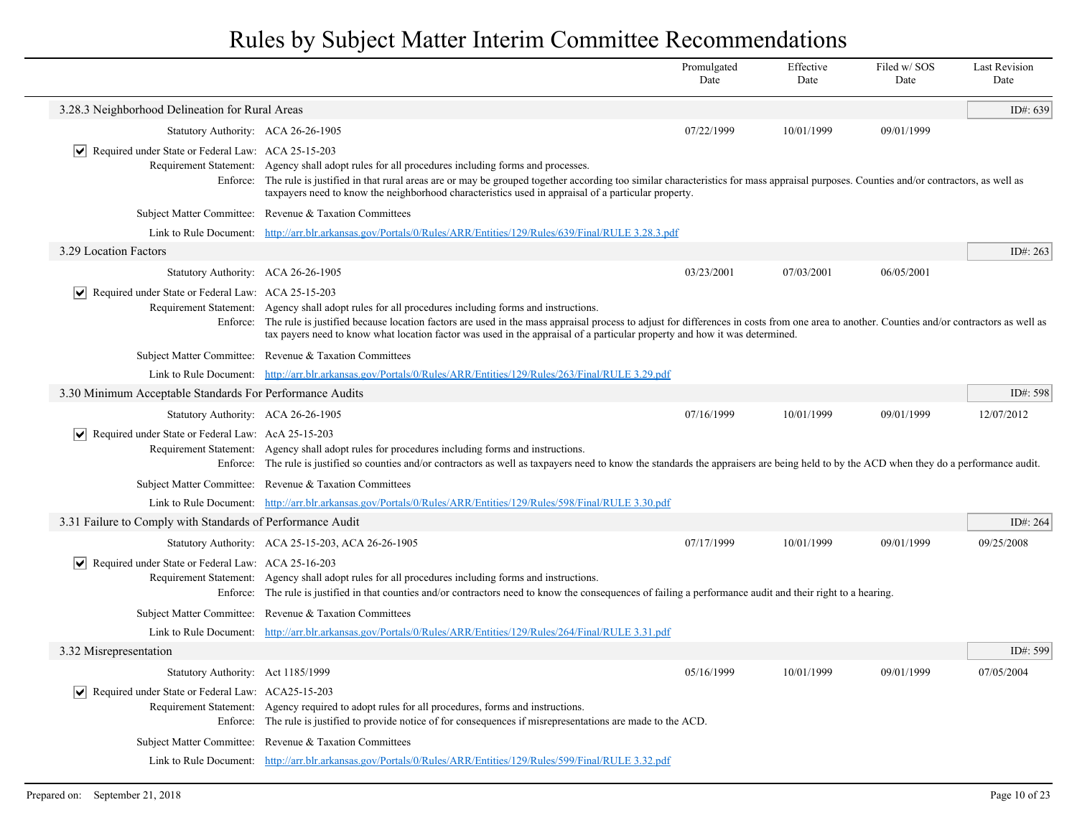|                                                                         |                                                                                                                                                                                                                                                                                                                                                                                                                                          | Promulgated<br>Date | Effective<br>Date | Filed w/SOS<br>Date | <b>Last Revision</b><br>Date |
|-------------------------------------------------------------------------|------------------------------------------------------------------------------------------------------------------------------------------------------------------------------------------------------------------------------------------------------------------------------------------------------------------------------------------------------------------------------------------------------------------------------------------|---------------------|-------------------|---------------------|------------------------------|
| 3.28.3 Neighborhood Delineation for Rural Areas                         |                                                                                                                                                                                                                                                                                                                                                                                                                                          |                     |                   |                     | ID#: 639                     |
| Statutory Authority: ACA 26-26-1905                                     |                                                                                                                                                                                                                                                                                                                                                                                                                                          | 07/22/1999          | 10/01/1999        | 09/01/1999          |                              |
| $ \mathbf{v} $ Required under State or Federal Law: ACA 25-15-203       | Requirement Statement: Agency shall adopt rules for all procedures including forms and processes.<br>Enforce: The rule is justified in that rural areas are or may be grouped together according too similar characteristics for mass appraisal purposes. Counties and/or contractors, as well as<br>taxpayers need to know the neighborhood characteristics used in appraisal of a particular property.                                 |                     |                   |                     |                              |
|                                                                         | Subject Matter Committee: Revenue & Taxation Committees                                                                                                                                                                                                                                                                                                                                                                                  |                     |                   |                     |                              |
|                                                                         | Link to Rule Document: http://arr.blr.arkansas.gov/Portals/0/Rules/ARR/Entities/129/Rules/639/Final/RULE 3.28.3.pdf                                                                                                                                                                                                                                                                                                                      |                     |                   |                     |                              |
| 3.29 Location Factors                                                   |                                                                                                                                                                                                                                                                                                                                                                                                                                          |                     |                   |                     | ID#: 263                     |
| Statutory Authority: ACA 26-26-1905                                     |                                                                                                                                                                                                                                                                                                                                                                                                                                          | 03/23/2001          | 07/03/2001        | 06/05/2001          |                              |
| $ \mathbf{v} $ Required under State or Federal Law: ACA 25-15-203       | Requirement Statement: Agency shall adopt rules for all procedures including forms and instructions.<br>Enforce: The rule is justified because location factors are used in the mass appraisal process to adjust for differences in costs from one area to another. Counties and/or contractors as well as<br>tax payers need to know what location factor was used in the appraisal of a particular property and how it was determined. |                     |                   |                     |                              |
|                                                                         | Subject Matter Committee: Revenue & Taxation Committees                                                                                                                                                                                                                                                                                                                                                                                  |                     |                   |                     |                              |
|                                                                         | Link to Rule Document: http://arr.blr.arkansas.gov/Portals/0/Rules/ARR/Entities/129/Rules/263/Final/RULE 3.29.pdf                                                                                                                                                                                                                                                                                                                        |                     |                   |                     |                              |
| 3.30 Minimum Acceptable Standards For Performance Audits                |                                                                                                                                                                                                                                                                                                                                                                                                                                          |                     |                   |                     | ID#: 598                     |
| Statutory Authority: ACA 26-26-1905                                     |                                                                                                                                                                                                                                                                                                                                                                                                                                          | 07/16/1999          | 10/01/1999        | 09/01/1999          | 12/07/2012                   |
| $\sqrt{\phantom{a}}$ Required under State or Federal Law: AcA 25-15-203 | Requirement Statement: Agency shall adopt rules for procedures including forms and instructions.<br>Enforce: The rule is justified so counties and/or contractors as well as taxpayers need to know the standards the appraisers are being held to by the ACD when they do a performance audit.                                                                                                                                          |                     |                   |                     |                              |
|                                                                         | Subject Matter Committee: Revenue & Taxation Committees                                                                                                                                                                                                                                                                                                                                                                                  |                     |                   |                     |                              |
|                                                                         | Link to Rule Document: http://arr.blr.arkansas.gov/Portals/0/Rules/ARR/Entities/129/Rules/598/Final/RULE 3.30.pdf                                                                                                                                                                                                                                                                                                                        |                     |                   |                     |                              |
| 3.31 Failure to Comply with Standards of Performance Audit              |                                                                                                                                                                                                                                                                                                                                                                                                                                          |                     |                   |                     | ID#: 264                     |
|                                                                         | Statutory Authority: ACA 25-15-203, ACA 26-26-1905                                                                                                                                                                                                                                                                                                                                                                                       | 07/17/1999          | 10/01/1999        | 09/01/1999          | 09/25/2008                   |
| $ \mathbf{v} $ Required under State or Federal Law: ACA 25-16-203       | Requirement Statement: Agency shall adopt rules for all procedures including forms and instructions.<br>Enforce: The rule is justified in that counties and/or contractors need to know the consequences of failing a performance audit and their right to a hearing.                                                                                                                                                                    |                     |                   |                     |                              |
|                                                                         | Subject Matter Committee: Revenue & Taxation Committees                                                                                                                                                                                                                                                                                                                                                                                  |                     |                   |                     |                              |
|                                                                         | Link to Rule Document: http://arr.blr.arkansas.gov/Portals/0/Rules/ARR/Entities/129/Rules/264/Final/RULE 3.31.pdf                                                                                                                                                                                                                                                                                                                        |                     |                   |                     |                              |
| 3.32 Misrepresentation                                                  |                                                                                                                                                                                                                                                                                                                                                                                                                                          |                     |                   |                     | ID#: 599                     |
| Statutory Authority: Act 1185/1999                                      |                                                                                                                                                                                                                                                                                                                                                                                                                                          | 05/16/1999          | 10/01/1999        | 09/01/1999          | 07/05/2004                   |
| $ \mathbf{v} $ Required under State or Federal Law: ACA25-15-203        | Requirement Statement: Agency required to adopt rules for all procedures, forms and instructions.<br>Enforce: The rule is justified to provide notice of for consequences if misrepresentations are made to the ACD.                                                                                                                                                                                                                     |                     |                   |                     |                              |
|                                                                         | Subject Matter Committee: Revenue & Taxation Committees                                                                                                                                                                                                                                                                                                                                                                                  |                     |                   |                     |                              |
|                                                                         | Link to Rule Document: http://arr.blr.arkansas.gov/Portals/0/Rules/ARR/Entities/129/Rules/599/Final/RULE 3.32.pdf                                                                                                                                                                                                                                                                                                                        |                     |                   |                     |                              |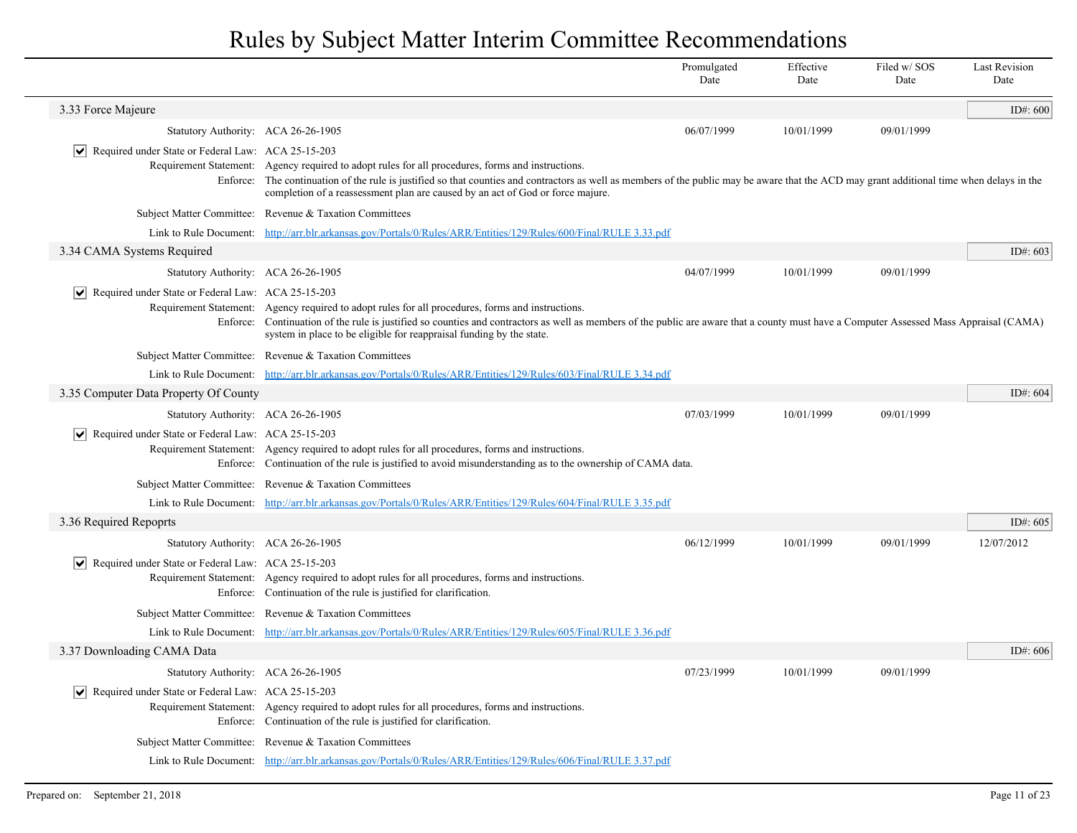|                                                                                                         |                                                                                                                                                                                                                                                                                                                                                                      | Promulgated<br>Date | Effective<br>Date | Filed w/SOS<br>Date | <b>Last Revision</b><br>Date |
|---------------------------------------------------------------------------------------------------------|----------------------------------------------------------------------------------------------------------------------------------------------------------------------------------------------------------------------------------------------------------------------------------------------------------------------------------------------------------------------|---------------------|-------------------|---------------------|------------------------------|
| 3.33 Force Majeure                                                                                      |                                                                                                                                                                                                                                                                                                                                                                      |                     |                   |                     | ID#: $600$                   |
| Statutory Authority: ACA 26-26-1905                                                                     |                                                                                                                                                                                                                                                                                                                                                                      | 06/07/1999          | 10/01/1999        | 09/01/1999          |                              |
| $ \mathbf{v} $ Required under State or Federal Law: ACA 25-15-203<br>Requirement Statement:<br>Enforce: | Agency required to adopt rules for all procedures, forms and instructions.<br>The continuation of the rule is justified so that counties and contractors as well as members of the public may be aware that the ACD may grant additional time when delays in the<br>completion of a reassessment plan are caused by an act of God or force majure.                   |                     |                   |                     |                              |
|                                                                                                         | Subject Matter Committee: Revenue & Taxation Committees                                                                                                                                                                                                                                                                                                              |                     |                   |                     |                              |
| Link to Rule Document:                                                                                  | http://arr.blr.arkansas.gov/Portals/0/Rules/ARR/Entities/129/Rules/600/Final/RULE 3.33.pdf                                                                                                                                                                                                                                                                           |                     |                   |                     |                              |
| 3.34 CAMA Systems Required                                                                              |                                                                                                                                                                                                                                                                                                                                                                      |                     |                   |                     | ID#: 603                     |
| Statutory Authority: ACA 26-26-1905                                                                     |                                                                                                                                                                                                                                                                                                                                                                      | 04/07/1999          | 10/01/1999        | 09/01/1999          |                              |
| $ \mathbf{v} $ Required under State or Federal Law: ACA 25-15-203                                       | Requirement Statement: Agency required to adopt rules for all procedures, forms and instructions.<br>Enforce: Continuation of the rule is justified so counties and contractors as well as members of the public are aware that a county must have a Computer Assessed Mass Appraisal (CAMA)<br>system in place to be eligible for reappraisal funding by the state. |                     |                   |                     |                              |
|                                                                                                         | Subject Matter Committee: Revenue & Taxation Committees                                                                                                                                                                                                                                                                                                              |                     |                   |                     |                              |
|                                                                                                         | Link to Rule Document: http://arr.blr.arkansas.gov/Portals/0/Rules/ARR/Entities/129/Rules/603/Final/RULE 3.34.pdf                                                                                                                                                                                                                                                    |                     |                   |                     |                              |
| 3.35 Computer Data Property Of County                                                                   |                                                                                                                                                                                                                                                                                                                                                                      |                     |                   |                     | ID#: 604                     |
| Statutory Authority: ACA 26-26-1905                                                                     |                                                                                                                                                                                                                                                                                                                                                                      | 07/03/1999          | 10/01/1999        | 09/01/1999          |                              |
| $ \mathbf{v} $ Required under State or Federal Law: ACA 25-15-203                                       | Requirement Statement: Agency required to adopt rules for all procedures, forms and instructions.<br>Enforce: Continuation of the rule is justified to avoid misunderstanding as to the ownership of CAMA data.                                                                                                                                                      |                     |                   |                     |                              |
|                                                                                                         | Subject Matter Committee: Revenue & Taxation Committees                                                                                                                                                                                                                                                                                                              |                     |                   |                     |                              |
| Link to Rule Document:                                                                                  | http://arr.blr.arkansas.gov/Portals/0/Rules/ARR/Entities/129/Rules/604/Final/RULE 3.35.pdf                                                                                                                                                                                                                                                                           |                     |                   |                     |                              |
| 3.36 Required Repoprts                                                                                  |                                                                                                                                                                                                                                                                                                                                                                      |                     |                   |                     | ID#: 605                     |
| Statutory Authority: ACA 26-26-1905                                                                     |                                                                                                                                                                                                                                                                                                                                                                      | 06/12/1999          | 10/01/1999        | 09/01/1999          | 12/07/2012                   |
| $ \mathbf{v} $ Required under State or Federal Law: ACA 25-15-203                                       | Requirement Statement: Agency required to adopt rules for all procedures, forms and instructions.<br>Enforce: Continuation of the rule is justified for clarification.                                                                                                                                                                                               |                     |                   |                     |                              |
|                                                                                                         | Subject Matter Committee: Revenue & Taxation Committees                                                                                                                                                                                                                                                                                                              |                     |                   |                     |                              |
|                                                                                                         | Link to Rule Document: http://arr.blr.arkansas.gov/Portals/0/Rules/ARR/Entities/129/Rules/605/Final/RULE 3.36.pdf                                                                                                                                                                                                                                                    |                     |                   |                     |                              |
| 3.37 Downloading CAMA Data                                                                              |                                                                                                                                                                                                                                                                                                                                                                      |                     |                   |                     | ID#: 606                     |
| Statutory Authority: ACA 26-26-1905                                                                     |                                                                                                                                                                                                                                                                                                                                                                      | 07/23/1999          | 10/01/1999        | 09/01/1999          |                              |
| $ \mathbf{v} $ Required under State or Federal Law: ACA 25-15-203                                       | Requirement Statement: Agency required to adopt rules for all procedures, forms and instructions.<br>Enforce: Continuation of the rule is justified for clarification.                                                                                                                                                                                               |                     |                   |                     |                              |
|                                                                                                         | Subject Matter Committee: Revenue & Taxation Committees                                                                                                                                                                                                                                                                                                              |                     |                   |                     |                              |
|                                                                                                         | Link to Rule Document: http://arr.blr.arkansas.gov/Portals/0/Rules/ARR/Entities/129/Rules/606/Final/RULE 3.37.pdf                                                                                                                                                                                                                                                    |                     |                   |                     |                              |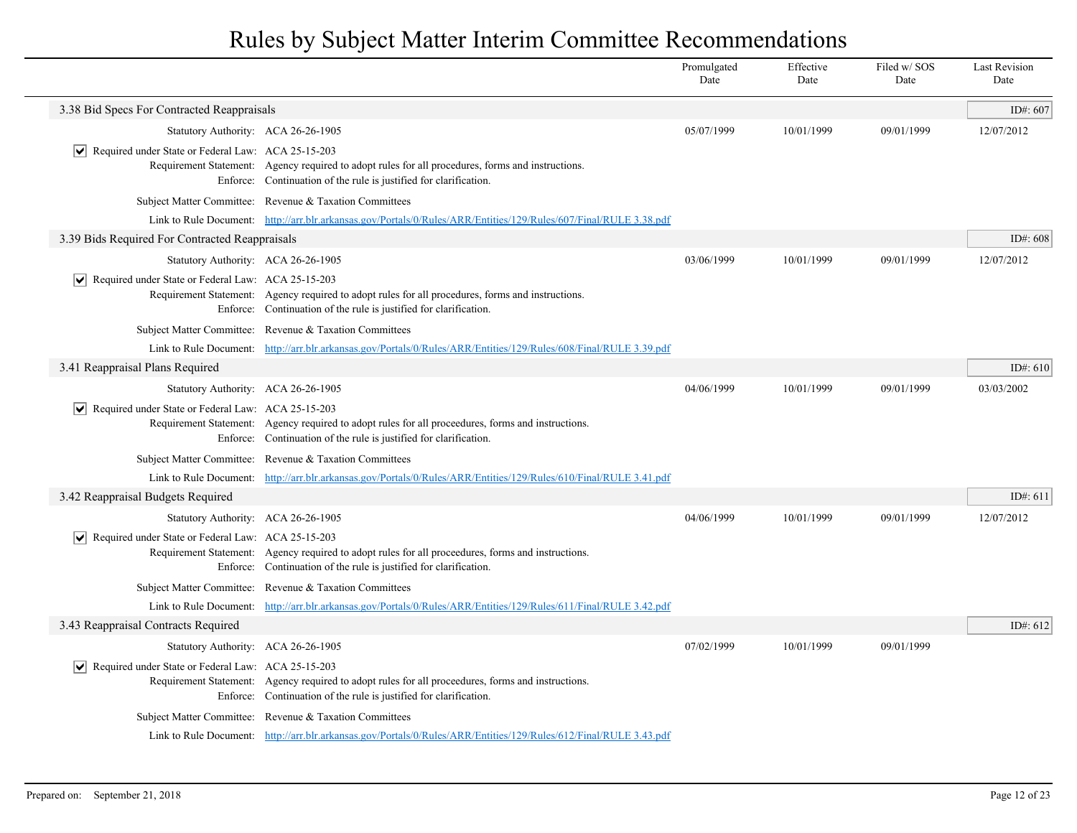|                                                                   |                                                                                                                                                                         | Promulgated<br>Date | Effective<br>Date | Filed w/SOS<br>Date | <b>Last Revision</b><br>Date |
|-------------------------------------------------------------------|-------------------------------------------------------------------------------------------------------------------------------------------------------------------------|---------------------|-------------------|---------------------|------------------------------|
| 3.38 Bid Specs For Contracted Reappraisals                        |                                                                                                                                                                         |                     |                   |                     | ID#: 607                     |
| Statutory Authority: ACA 26-26-1905                               |                                                                                                                                                                         | 05/07/1999          | 10/01/1999        | 09/01/1999          | 12/07/2012                   |
| $ \mathbf{v} $ Required under State or Federal Law: ACA 25-15-203 | Requirement Statement: Agency required to adopt rules for all procedures, forms and instructions.<br>Enforce: Continuation of the rule is justified for clarification.  |                     |                   |                     |                              |
|                                                                   | Subject Matter Committee: Revenue & Taxation Committees                                                                                                                 |                     |                   |                     |                              |
|                                                                   | Link to Rule Document: http://arr.blr.arkansas.gov/Portals/0/Rules/ARR/Entities/129/Rules/607/Final/RULE 3.38.pdf                                                       |                     |                   |                     |                              |
| 3.39 Bids Required For Contracted Reappraisals                    |                                                                                                                                                                         |                     |                   |                     | ID#: 608                     |
| Statutory Authority: ACA 26-26-1905                               |                                                                                                                                                                         | 03/06/1999          | 10/01/1999        | 09/01/1999          | 12/07/2012                   |
| Required under State or Federal Law: ACA 25-15-203                | Requirement Statement: Agency required to adopt rules for all procedures, forms and instructions.<br>Enforce: Continuation of the rule is justified for clarification.  |                     |                   |                     |                              |
|                                                                   | Subject Matter Committee: Revenue & Taxation Committees                                                                                                                 |                     |                   |                     |                              |
|                                                                   | Link to Rule Document: http://arr.blr.arkansas.gov/Portals/0/Rules/ARR/Entities/129/Rules/608/Final/RULE 3.39.pdf                                                       |                     |                   |                     |                              |
| 3.41 Reappraisal Plans Required                                   |                                                                                                                                                                         |                     |                   |                     | ID#: $610$                   |
| Statutory Authority: ACA 26-26-1905                               |                                                                                                                                                                         | 04/06/1999          | 10/01/1999        | 09/01/1999          | 03/03/2002                   |
| Required under State or Federal Law: ACA 25-15-203                | Requirement Statement: Agency required to adopt rules for all proceedures, forms and instructions.<br>Enforce: Continuation of the rule is justified for clarification. |                     |                   |                     |                              |
|                                                                   | Subject Matter Committee: Revenue & Taxation Committees                                                                                                                 |                     |                   |                     |                              |
|                                                                   | Link to Rule Document: http://arr.blr.arkansas.gov/Portals/0/Rules/ARR/Entities/129/Rules/610/Final/RULE 3.41.pdf                                                       |                     |                   |                     |                              |
| 3.42 Reappraisal Budgets Required                                 |                                                                                                                                                                         |                     |                   |                     | ID#: $611$                   |
| Statutory Authority: ACA 26-26-1905                               |                                                                                                                                                                         | 04/06/1999          | 10/01/1999        | 09/01/1999          | 12/07/2012                   |
| $ \mathbf{v} $ Required under State or Federal Law: ACA 25-15-203 | Requirement Statement: Agency required to adopt rules for all proceedures, forms and instructions.<br>Enforce: Continuation of the rule is justified for clarification. |                     |                   |                     |                              |
|                                                                   | Subject Matter Committee: Revenue & Taxation Committees                                                                                                                 |                     |                   |                     |                              |
|                                                                   | Link to Rule Document: http://arr.blr.arkansas.gov/Portals/0/Rules/ARR/Entities/129/Rules/611/Final/RULE 3.42.pdf                                                       |                     |                   |                     |                              |
| 3.43 Reappraisal Contracts Required                               |                                                                                                                                                                         |                     |                   |                     | ID#: 612                     |
| Statutory Authority: ACA 26-26-1905                               |                                                                                                                                                                         | 07/02/1999          | 10/01/1999        | 09/01/1999          |                              |
| Required under State or Federal Law: ACA 25-15-203                | Requirement Statement: Agency required to adopt rules for all proceedures, forms and instructions.<br>Enforce: Continuation of the rule is justified for clarification. |                     |                   |                     |                              |
|                                                                   | Subject Matter Committee: Revenue & Taxation Committees                                                                                                                 |                     |                   |                     |                              |
|                                                                   | Link to Rule Document: http://arr.blr.arkansas.gov/Portals/0/Rules/ARR/Entities/129/Rules/612/Final/RULE 3.43.pdf                                                       |                     |                   |                     |                              |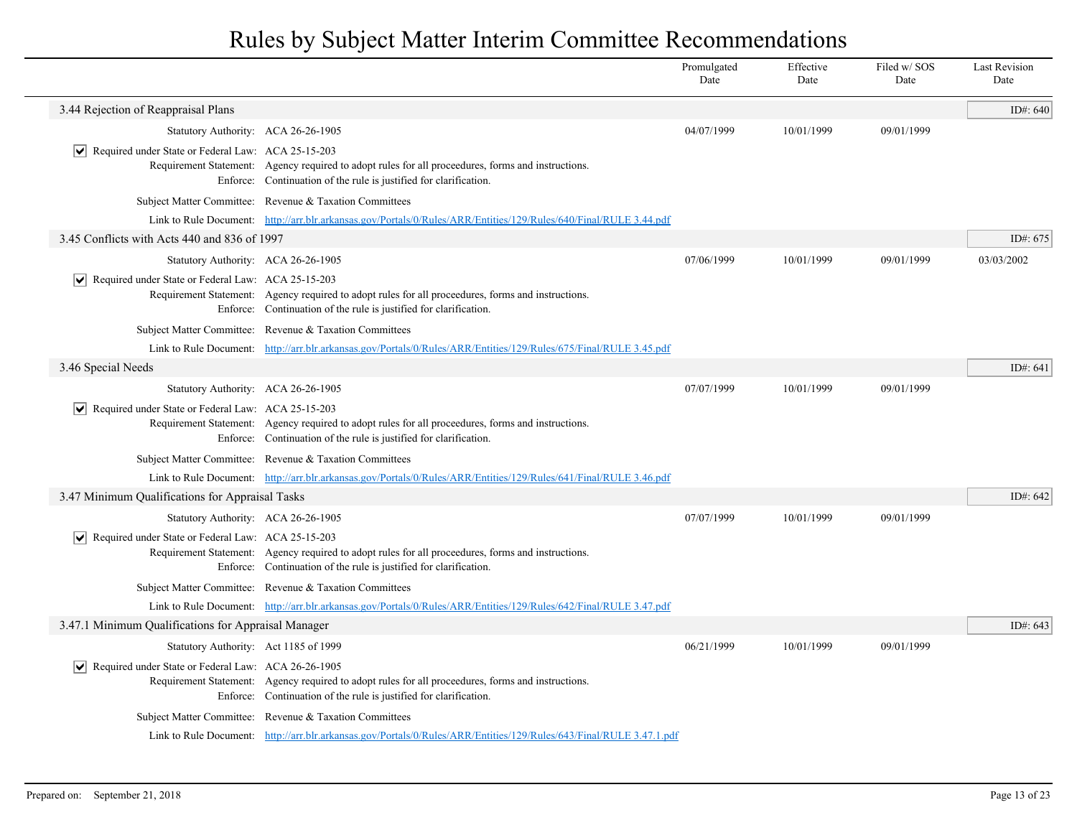|                                                                    |                                                                                                                                                                         | Promulgated<br>Date | Effective<br>Date | Filed w/SOS<br>Date | <b>Last Revision</b><br>Date |
|--------------------------------------------------------------------|-------------------------------------------------------------------------------------------------------------------------------------------------------------------------|---------------------|-------------------|---------------------|------------------------------|
| 3.44 Rejection of Reappraisal Plans                                |                                                                                                                                                                         |                     |                   |                     | ID#: 640                     |
| Statutory Authority: ACA 26-26-1905                                |                                                                                                                                                                         | 04/07/1999          | 10/01/1999        | 09/01/1999          |                              |
| $ \mathbf{v} $ Required under State or Federal Law: ACA 25-15-203  | Requirement Statement: Agency required to adopt rules for all proceedures, forms and instructions.<br>Enforce: Continuation of the rule is justified for clarification. |                     |                   |                     |                              |
|                                                                    | Subject Matter Committee: Revenue & Taxation Committees                                                                                                                 |                     |                   |                     |                              |
|                                                                    | Link to Rule Document: http://arr.blr.arkansas.gov/Portals/0/Rules/ARR/Entities/129/Rules/640/Final/RULE 3.44.pdf                                                       |                     |                   |                     |                              |
| 3.45 Conflicts with Acts 440 and 836 of 1997                       |                                                                                                                                                                         |                     |                   |                     | ID#: 675                     |
| Statutory Authority: ACA 26-26-1905                                |                                                                                                                                                                         | 07/06/1999          | 10/01/1999        | 09/01/1999          | 03/03/2002                   |
| Required under State or Federal Law: ACA 25-15-203                 | Requirement Statement: Agency required to adopt rules for all proceedures, forms and instructions.<br>Enforce: Continuation of the rule is justified for clarification. |                     |                   |                     |                              |
|                                                                    | Subject Matter Committee: Revenue & Taxation Committees                                                                                                                 |                     |                   |                     |                              |
|                                                                    | Link to Rule Document: http://arr.blr.arkansas.gov/Portals/0/Rules/ARR/Entities/129/Rules/675/Final/RULE 3.45.pdf                                                       |                     |                   |                     |                              |
| 3.46 Special Needs                                                 |                                                                                                                                                                         |                     |                   |                     | ID#: 641                     |
| Statutory Authority: ACA 26-26-1905                                |                                                                                                                                                                         | 07/07/1999          | 10/01/1999        | 09/01/1999          |                              |
| $\triangledown$ Required under State or Federal Law: ACA 25-15-203 | Requirement Statement: Agency required to adopt rules for all proceedures, forms and instructions.<br>Enforce: Continuation of the rule is justified for clarification. |                     |                   |                     |                              |
|                                                                    | Subject Matter Committee: Revenue & Taxation Committees                                                                                                                 |                     |                   |                     |                              |
|                                                                    | Link to Rule Document: http://arr.blr.arkansas.gov/Portals/0/Rules/ARR/Entities/129/Rules/641/Final/RULE 3.46.pdf                                                       |                     |                   |                     |                              |
| 3.47 Minimum Qualifications for Appraisal Tasks                    |                                                                                                                                                                         |                     |                   |                     | ID#: 642                     |
| Statutory Authority: ACA 26-26-1905                                |                                                                                                                                                                         | 07/07/1999          | 10/01/1999        | 09/01/1999          |                              |
| $\triangledown$ Required under State or Federal Law: ACA 25-15-203 | Requirement Statement: Agency required to adopt rules for all proceedures, forms and instructions.<br>Enforce: Continuation of the rule is justified for clarification. |                     |                   |                     |                              |
|                                                                    | Subject Matter Committee: Revenue & Taxation Committees                                                                                                                 |                     |                   |                     |                              |
|                                                                    | Link to Rule Document: http://arr.blr.arkansas.gov/Portals/0/Rules/ARR/Entities/129/Rules/642/Final/RULE 3.47.pdf                                                       |                     |                   |                     |                              |
| 3.47.1 Minimum Qualifications for Appraisal Manager                |                                                                                                                                                                         |                     |                   |                     | ID#: $643$                   |
| Statutory Authority: Act 1185 of 1999                              |                                                                                                                                                                         | 06/21/1999          | 10/01/1999        | 09/01/1999          |                              |
| Required under State or Federal Law: ACA 26-26-1905                | Requirement Statement: Agency required to adopt rules for all proceedures, forms and instructions.<br>Enforce: Continuation of the rule is justified for clarification. |                     |                   |                     |                              |
|                                                                    | Subject Matter Committee: Revenue & Taxation Committees                                                                                                                 |                     |                   |                     |                              |
|                                                                    | Link to Rule Document: http://arr.blr.arkansas.gov/Portals/0/Rules/ARR/Entities/129/Rules/643/Final/RULE 3.47.1.pdf                                                     |                     |                   |                     |                              |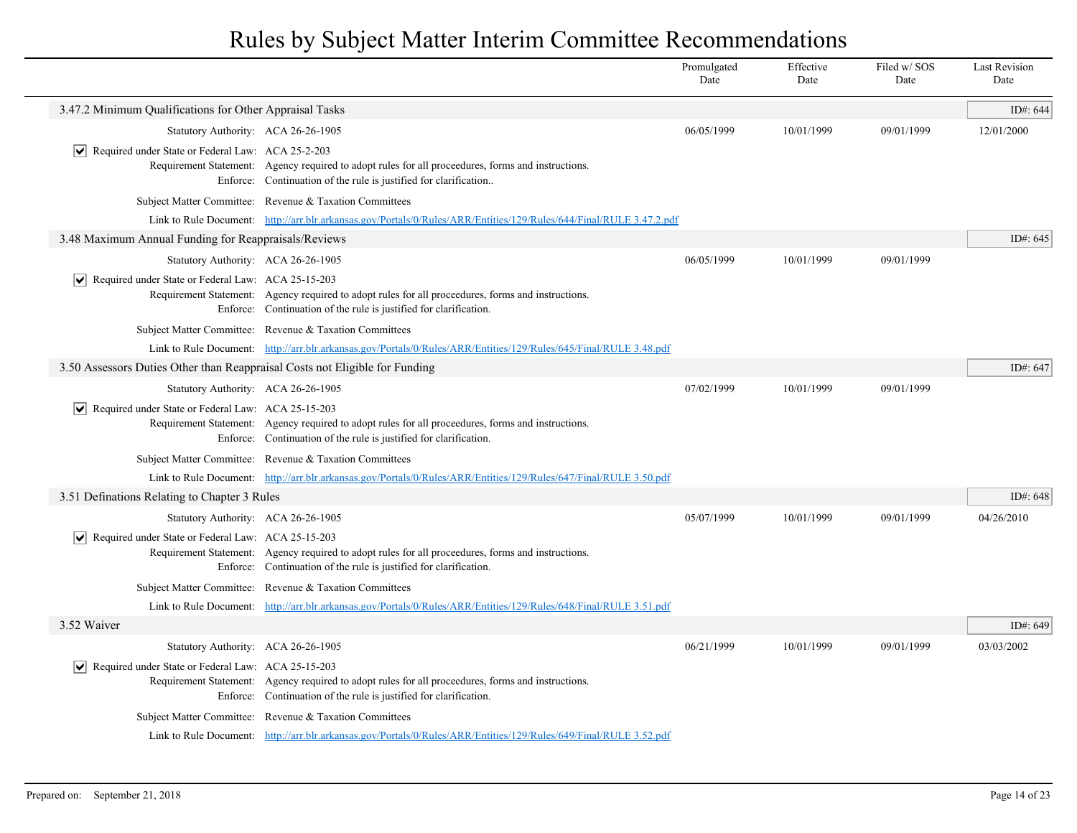|                                                                             |                                                                                                                                                                         | Promulgated<br>Date | Effective<br>Date | Filed w/SOS<br>Date | <b>Last Revision</b><br>Date |
|-----------------------------------------------------------------------------|-------------------------------------------------------------------------------------------------------------------------------------------------------------------------|---------------------|-------------------|---------------------|------------------------------|
| 3.47.2 Minimum Qualifications for Other Appraisal Tasks                     |                                                                                                                                                                         |                     |                   |                     | ID#: 644                     |
| Statutory Authority: ACA 26-26-1905                                         |                                                                                                                                                                         | 06/05/1999          | 10/01/1999        | 09/01/1999          | 12/01/2000                   |
| $ \bm{\mathsf{v}} $<br>Required under State or Federal Law: ACA 25-2-203    | Requirement Statement: Agency required to adopt rules for all proceedures, forms and instructions.<br>Enforce: Continuation of the rule is justified for clarification  |                     |                   |                     |                              |
|                                                                             | Subject Matter Committee: Revenue & Taxation Committees                                                                                                                 |                     |                   |                     |                              |
|                                                                             | Link to Rule Document: http://arr.blr.arkansas.gov/Portals/0/Rules/ARR/Entities/129/Rules/644/Final/RULE 3.47.2.pdf                                                     |                     |                   |                     |                              |
| 3.48 Maximum Annual Funding for Reappraisals/Reviews                        |                                                                                                                                                                         |                     |                   |                     | ID#: 645                     |
| Statutory Authority: ACA 26-26-1905                                         |                                                                                                                                                                         | 06/05/1999          | 10/01/1999        | 09/01/1999          |                              |
| $ \mathbf{v} $ Required under State or Federal Law: ACA 25-15-203           | Requirement Statement: Agency required to adopt rules for all proceedures, forms and instructions.<br>Enforce: Continuation of the rule is justified for clarification. |                     |                   |                     |                              |
|                                                                             | Subject Matter Committee: Revenue & Taxation Committees                                                                                                                 |                     |                   |                     |                              |
|                                                                             | Link to Rule Document: http://arr.blr.arkansas.gov/Portals/0/Rules/ARR/Entities/129/Rules/645/Final/RULE 3.48.pdf                                                       |                     |                   |                     |                              |
| 3.50 Assessors Duties Other than Reappraisal Costs not Eligible for Funding |                                                                                                                                                                         |                     |                   |                     | ID#: 647                     |
| Statutory Authority: ACA 26-26-1905                                         |                                                                                                                                                                         | 07/02/1999          | 10/01/1999        | 09/01/1999          |                              |
| $\triangledown$ Required under State or Federal Law: ACA 25-15-203          | Requirement Statement: Agency required to adopt rules for all proceedures, forms and instructions.<br>Enforce: Continuation of the rule is justified for clarification. |                     |                   |                     |                              |
|                                                                             | Subject Matter Committee: Revenue & Taxation Committees                                                                                                                 |                     |                   |                     |                              |
|                                                                             | Link to Rule Document: http://arr.blr.arkansas.gov/Portals/0/Rules/ARR/Entities/129/Rules/647/Final/RULE 3.50.pdf                                                       |                     |                   |                     |                              |
| 3.51 Definations Relating to Chapter 3 Rules                                |                                                                                                                                                                         |                     |                   |                     | ID#: 648                     |
| Statutory Authority: ACA 26-26-1905                                         |                                                                                                                                                                         | 05/07/1999          | 10/01/1999        | 09/01/1999          | 04/26/2010                   |
| $\triangledown$ Required under State or Federal Law: ACA 25-15-203          | Requirement Statement: Agency required to adopt rules for all proceedures, forms and instructions.<br>Enforce: Continuation of the rule is justified for clarification. |                     |                   |                     |                              |
|                                                                             | Subject Matter Committee: Revenue & Taxation Committees                                                                                                                 |                     |                   |                     |                              |
|                                                                             | Link to Rule Document: http://arr.blr.arkansas.gov/Portals/0/Rules/ARR/Entities/129/Rules/648/Final/RULE 3.51.pdf                                                       |                     |                   |                     |                              |
| 3.52 Waiver                                                                 |                                                                                                                                                                         |                     |                   |                     | ID#: 649                     |
| Statutory Authority: ACA 26-26-1905                                         |                                                                                                                                                                         | 06/21/1999          | 10/01/1999        | 09/01/1999          | 03/03/2002                   |
| Required under State or Federal Law: ACA 25-15-203<br>$ \bm{\mathsf{v}} $   | Requirement Statement: Agency required to adopt rules for all proceedures, forms and instructions.<br>Enforce: Continuation of the rule is justified for clarification. |                     |                   |                     |                              |
|                                                                             | Subject Matter Committee: Revenue & Taxation Committees                                                                                                                 |                     |                   |                     |                              |
|                                                                             | Link to Rule Document: http://arr.blr.arkansas.gov/Portals/0/Rules/ARR/Entities/129/Rules/649/Final/RULE 3.52.pdf                                                       |                     |                   |                     |                              |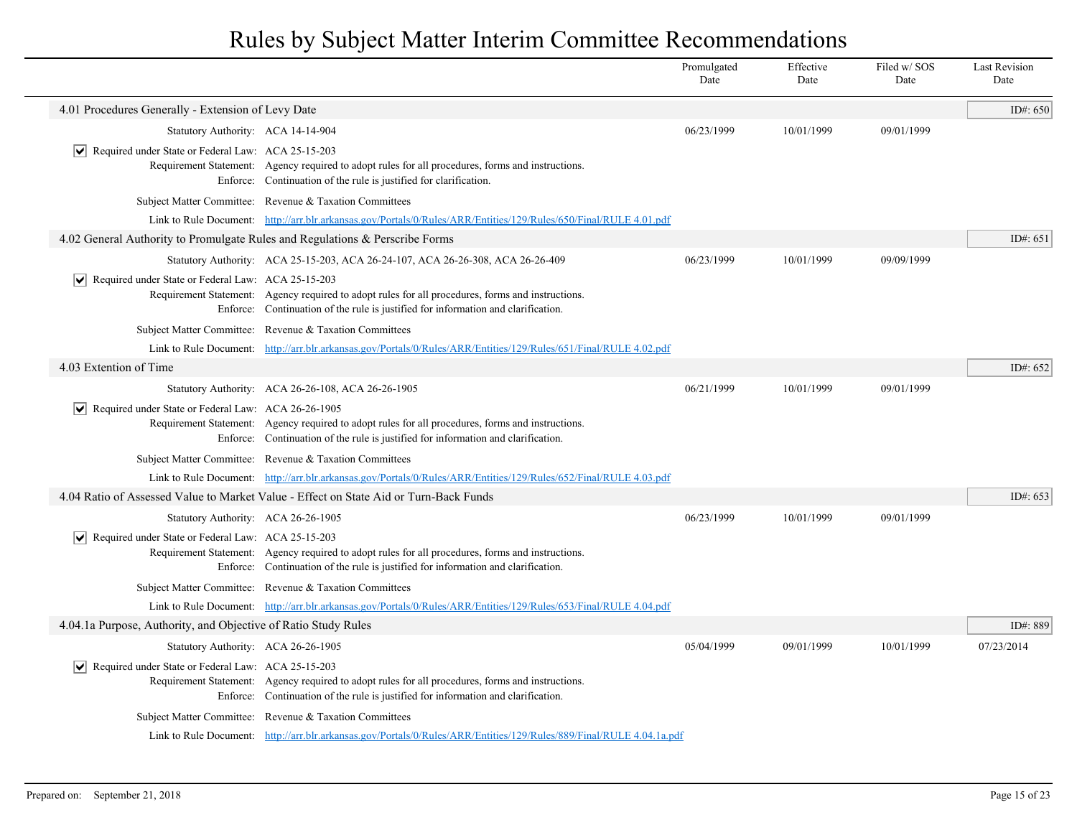|                                                                              |                                                                                                                                                                                        | Promulgated<br>Date | Effective<br>Date | Filed w/SOS<br>Date | <b>Last Revision</b><br>Date |
|------------------------------------------------------------------------------|----------------------------------------------------------------------------------------------------------------------------------------------------------------------------------------|---------------------|-------------------|---------------------|------------------------------|
| 4.01 Procedures Generally - Extension of Levy Date                           |                                                                                                                                                                                        |                     |                   |                     | ID#: 650                     |
| Statutory Authority: ACA 14-14-904                                           |                                                                                                                                                                                        | 06/23/1999          | 10/01/1999        | 09/01/1999          |                              |
| $ \mathbf{v} $ Required under State or Federal Law: ACA 25-15-203            | Requirement Statement: Agency required to adopt rules for all procedures, forms and instructions.<br>Enforce: Continuation of the rule is justified for clarification.                 |                     |                   |                     |                              |
|                                                                              | Subject Matter Committee: Revenue & Taxation Committees                                                                                                                                |                     |                   |                     |                              |
|                                                                              | Link to Rule Document: http://arr.blr.arkansas.gov/Portals/0/Rules/ARR/Entities/129/Rules/650/Final/RULE 4.01.pdf                                                                      |                     |                   |                     |                              |
| 4.02 General Authority to Promulgate Rules and Regulations & Perscribe Forms |                                                                                                                                                                                        |                     |                   |                     | ID#: 651                     |
|                                                                              | Statutory Authority: ACA 25-15-203, ACA 26-24-107, ACA 26-26-308, ACA 26-26-409                                                                                                        | 06/23/1999          | 10/01/1999        | 09/09/1999          |                              |
| $ \mathbf{v} $ Required under State or Federal Law: ACA 25-15-203            | Requirement Statement: Agency required to adopt rules for all procedures, forms and instructions.<br>Enforce: Continuation of the rule is justified for information and clarification. |                     |                   |                     |                              |
|                                                                              | Subject Matter Committee: Revenue & Taxation Committees                                                                                                                                |                     |                   |                     |                              |
|                                                                              | Link to Rule Document: http://arr.blr.arkansas.gov/Portals/0/Rules/ARR/Entities/129/Rules/651/Final/RULE 4.02.pdf                                                                      |                     |                   |                     |                              |
| 4.03 Extention of Time                                                       |                                                                                                                                                                                        |                     |                   |                     | ID#: 652                     |
|                                                                              | Statutory Authority: ACA 26-26-108, ACA 26-26-1905                                                                                                                                     | 06/21/1999          | 10/01/1999        | 09/01/1999          |                              |
| $ \mathbf{v} $ Required under State or Federal Law: ACA 26-26-1905           | Requirement Statement: Agency required to adopt rules for all procedures, forms and instructions.<br>Enforce: Continuation of the rule is justified for information and clarification. |                     |                   |                     |                              |
|                                                                              | Subject Matter Committee: Revenue & Taxation Committees                                                                                                                                |                     |                   |                     |                              |
|                                                                              | Link to Rule Document: http://arr.blr.arkansas.gov/Portals/0/Rules/ARR/Entities/129/Rules/652/Final/RULE 4.03.pdf                                                                      |                     |                   |                     |                              |
|                                                                              | 4.04 Ratio of Assessed Value to Market Value - Effect on State Aid or Turn-Back Funds                                                                                                  |                     |                   |                     | ID#: 653                     |
| Statutory Authority: ACA 26-26-1905                                          |                                                                                                                                                                                        | 06/23/1999          | 10/01/1999        | 09/01/1999          |                              |
| $ \mathbf{v} $ Required under State or Federal Law: ACA 25-15-203            | Requirement Statement: Agency required to adopt rules for all procedures, forms and instructions.<br>Enforce: Continuation of the rule is justified for information and clarification. |                     |                   |                     |                              |
|                                                                              | Subject Matter Committee: Revenue & Taxation Committees                                                                                                                                |                     |                   |                     |                              |
|                                                                              | Link to Rule Document: http://arr.blr.arkansas.gov/Portals/0/Rules/ARR/Entities/129/Rules/653/Final/RULE 4.04.pdf                                                                      |                     |                   |                     |                              |
| 4.04.1a Purpose, Authority, and Objective of Ratio Study Rules               |                                                                                                                                                                                        |                     |                   |                     | ID#: 889                     |
| Statutory Authority: ACA 26-26-1905                                          |                                                                                                                                                                                        | 05/04/1999          | 09/01/1999        | 10/01/1999          | 07/23/2014                   |
| $\sqrt{\phantom{a}}$ Required under State or Federal Law: ACA 25-15-203      | Requirement Statement: Agency required to adopt rules for all procedures, forms and instructions.<br>Enforce: Continuation of the rule is justified for information and clarification. |                     |                   |                     |                              |
|                                                                              | Subject Matter Committee: Revenue & Taxation Committees                                                                                                                                |                     |                   |                     |                              |
|                                                                              | Link to Rule Document: http://arr.blr.arkansas.gov/Portals/0/Rules/ARR/Entities/129/Rules/889/Final/RULE 4.04.1a.pdf                                                                   |                     |                   |                     |                              |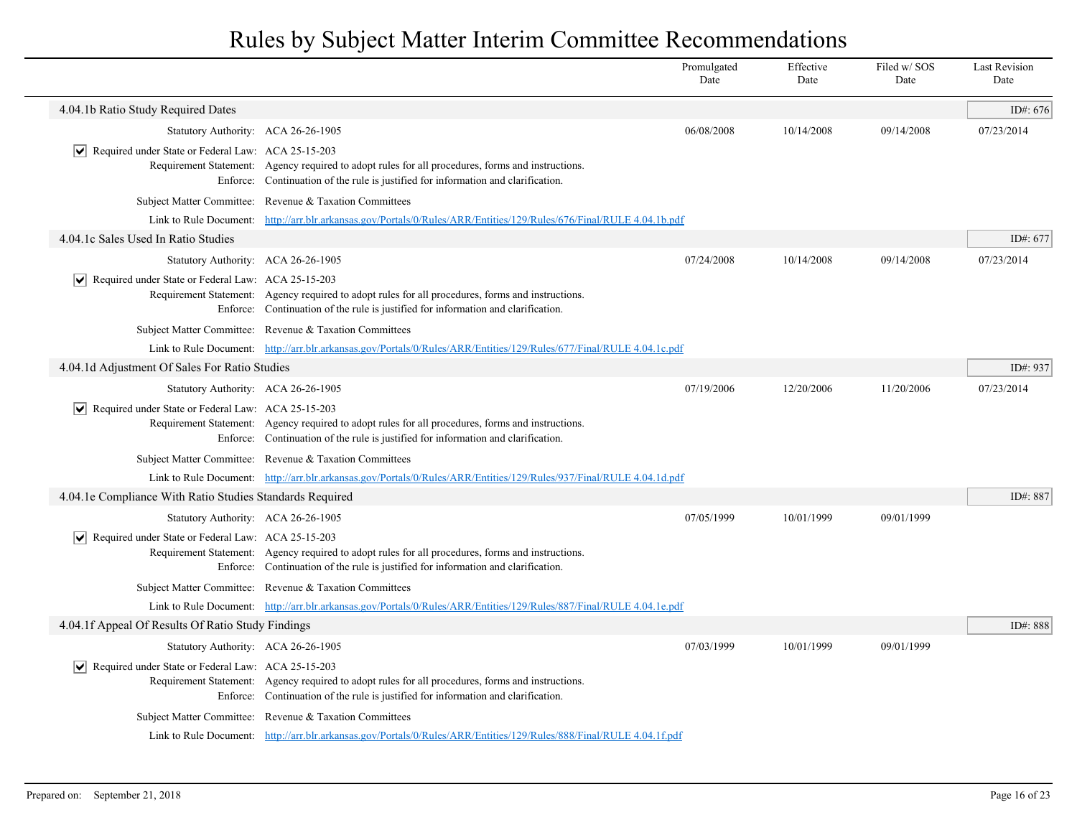|                                                                    |                                                                                                                                                                                        | Promulgated<br>Date | Effective<br>Date | Filed w/SOS<br>Date | <b>Last Revision</b><br>Date |
|--------------------------------------------------------------------|----------------------------------------------------------------------------------------------------------------------------------------------------------------------------------------|---------------------|-------------------|---------------------|------------------------------|
| 4.04.1b Ratio Study Required Dates                                 |                                                                                                                                                                                        |                     |                   |                     | ID#: $676$                   |
|                                                                    | Statutory Authority: ACA 26-26-1905                                                                                                                                                    | 06/08/2008          | 10/14/2008        | 09/14/2008          | 07/23/2014                   |
| ∣V∣<br>Required under State or Federal Law: ACA 25-15-203          | Requirement Statement: Agency required to adopt rules for all procedures, forms and instructions.<br>Enforce: Continuation of the rule is justified for information and clarification. |                     |                   |                     |                              |
|                                                                    | Subject Matter Committee: Revenue & Taxation Committees                                                                                                                                |                     |                   |                     |                              |
|                                                                    | Link to Rule Document: http://arr.blr.arkansas.gov/Portals/0/Rules/ARR/Entities/129/Rules/676/Final/RULE 4.04.1b.pdf                                                                   |                     |                   |                     |                              |
| 4.04.1c Sales Used In Ratio Studies                                |                                                                                                                                                                                        |                     |                   |                     | ID#: 677                     |
|                                                                    | Statutory Authority: ACA 26-26-1905                                                                                                                                                    | 07/24/2008          | 10/14/2008        | 09/14/2008          | 07/23/2014                   |
| Required under State or Federal Law: ACA 25-15-203                 | Requirement Statement: Agency required to adopt rules for all procedures, forms and instructions.<br>Enforce: Continuation of the rule is justified for information and clarification. |                     |                   |                     |                              |
|                                                                    | Subject Matter Committee: Revenue & Taxation Committees                                                                                                                                |                     |                   |                     |                              |
|                                                                    | Link to Rule Document: http://arr.blr.arkansas.gov/Portals/0/Rules/ARR/Entities/129/Rules/677/Final/RULE 4.04.1c.pdf                                                                   |                     |                   |                     |                              |
| 4.04.1d Adjustment Of Sales For Ratio Studies                      |                                                                                                                                                                                        |                     |                   |                     | ID#: 937                     |
|                                                                    | Statutory Authority: ACA 26-26-1905                                                                                                                                                    | 07/19/2006          | 12/20/2006        | 11/20/2006          | 07/23/2014                   |
| $ \mathbf{v} $ Required under State or Federal Law: ACA 25-15-203  | Requirement Statement: Agency required to adopt rules for all procedures, forms and instructions.<br>Enforce: Continuation of the rule is justified for information and clarification. |                     |                   |                     |                              |
|                                                                    | Subject Matter Committee: Revenue & Taxation Committees                                                                                                                                |                     |                   |                     |                              |
|                                                                    | Link to Rule Document: http://arr.blr.arkansas.gov/Portals/0/Rules/ARR/Entities/129/Rules/937/Final/RULE 4.04.1d.pdf                                                                   |                     |                   |                     |                              |
| 4.04.1e Compliance With Ratio Studies Standards Required           |                                                                                                                                                                                        |                     |                   |                     | ID#: 887                     |
|                                                                    | Statutory Authority: ACA 26-26-1905                                                                                                                                                    | 07/05/1999          | 10/01/1999        | 09/01/1999          |                              |
| $\triangledown$ Required under State or Federal Law: ACA 25-15-203 | Requirement Statement: Agency required to adopt rules for all procedures, forms and instructions.<br>Enforce: Continuation of the rule is justified for information and clarification. |                     |                   |                     |                              |
|                                                                    | Subject Matter Committee: Revenue & Taxation Committees                                                                                                                                |                     |                   |                     |                              |
|                                                                    | Link to Rule Document: http://arr.blr.arkansas.gov/Portals/0/Rules/ARR/Entities/129/Rules/887/Final/RULE 4.04.1e.pdf                                                                   |                     |                   |                     |                              |
| 4.04.1f Appeal Of Results Of Ratio Study Findings                  |                                                                                                                                                                                        |                     |                   |                     | ID#: 888                     |
|                                                                    | Statutory Authority: ACA 26-26-1905                                                                                                                                                    | 07/03/1999          | 10/01/1999        | 09/01/1999          |                              |
| $ \mathbf{v} $ Required under State or Federal Law: ACA 25-15-203  | Requirement Statement: Agency required to adopt rules for all procedures, forms and instructions.<br>Enforce: Continuation of the rule is justified for information and clarification. |                     |                   |                     |                              |
|                                                                    | Subject Matter Committee: Revenue & Taxation Committees                                                                                                                                |                     |                   |                     |                              |
|                                                                    | Link to Rule Document: http://arr.blr.arkansas.gov/Portals/0/Rules/ARR/Entities/129/Rules/888/Final/RULE 4.04.1f.pdf                                                                   |                     |                   |                     |                              |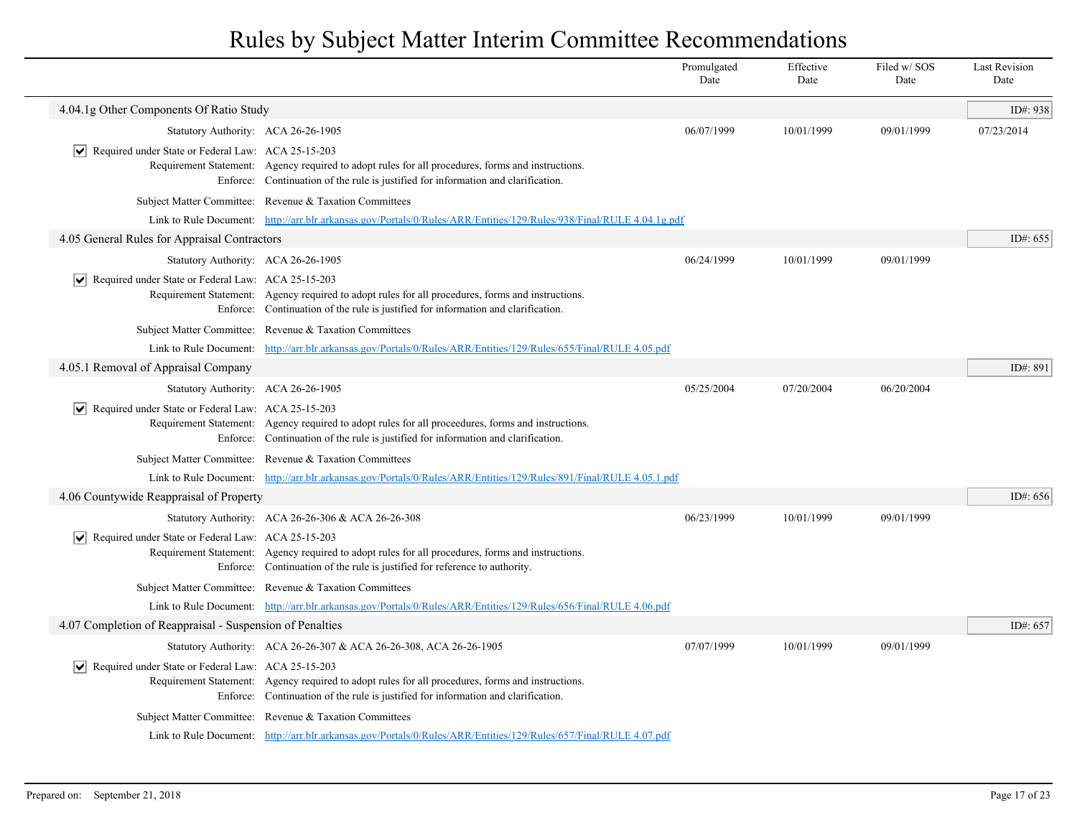|                                                                    |                                                                                                                                                                                         | Promulgated<br>Date | Effective<br>Date | Filed w/SOS<br>Date | <b>Last Revision</b><br>Date |
|--------------------------------------------------------------------|-----------------------------------------------------------------------------------------------------------------------------------------------------------------------------------------|---------------------|-------------------|---------------------|------------------------------|
| 4.04.1g Other Components Of Ratio Study                            |                                                                                                                                                                                         |                     |                   |                     | ID#: 938                     |
| Statutory Authority: ACA 26-26-1905                                |                                                                                                                                                                                         | 06/07/1999          | 10/01/1999        | 09/01/1999          | 07/23/2014                   |
| $ \mathbf{v} $ Required under State or Federal Law: ACA 25-15-203  | Requirement Statement: Agency required to adopt rules for all procedures, forms and instructions.<br>Enforce: Continuation of the rule is justified for information and clarification.  |                     |                   |                     |                              |
|                                                                    | Subject Matter Committee: Revenue & Taxation Committees                                                                                                                                 |                     |                   |                     |                              |
|                                                                    | Link to Rule Document: http://arr.blr.arkansas.gov/Portals/0/Rules/ARR/Entities/129/Rules/938/Final/RULE 4.04.1g.pdf                                                                    |                     |                   |                     |                              |
| 4.05 General Rules for Appraisal Contractors                       |                                                                                                                                                                                         |                     |                   |                     | ID#: 655                     |
| Statutory Authority: ACA 26-26-1905                                |                                                                                                                                                                                         | 06/24/1999          | 10/01/1999        | 09/01/1999          |                              |
| $ \mathbf{v} $ Required under State or Federal Law: ACA 25-15-203  | Requirement Statement: Agency required to adopt rules for all procedures, forms and instructions.<br>Enforce: Continuation of the rule is justified for information and clarification.  |                     |                   |                     |                              |
|                                                                    | Subject Matter Committee: Revenue & Taxation Committees                                                                                                                                 |                     |                   |                     |                              |
|                                                                    | Link to Rule Document: http://arr.blr.arkansas.gov/Portals/0/Rules/ARR/Entities/129/Rules/655/Final/RULE 4.05.pdf                                                                       |                     |                   |                     |                              |
| 4.05.1 Removal of Appraisal Company                                |                                                                                                                                                                                         |                     |                   |                     | ID#: 891                     |
| Statutory Authority: ACA 26-26-1905                                |                                                                                                                                                                                         | 05/25/2004          | 07/20/2004        | 06/20/2004          |                              |
| Required under State or Federal Law: ACA 25-15-203                 | Requirement Statement: Agency required to adopt rules for all proceedures, forms and instructions.<br>Enforce: Continuation of the rule is justified for information and clarification. |                     |                   |                     |                              |
|                                                                    | Subject Matter Committee: Revenue & Taxation Committees                                                                                                                                 |                     |                   |                     |                              |
|                                                                    | Link to Rule Document: http://arr.blr.arkansas.gov/Portals/0/Rules/ARR/Entities/129/Rules/891/Final/RULE 4.05.1.pdf                                                                     |                     |                   |                     |                              |
| 4.06 Countywide Reappraisal of Property                            |                                                                                                                                                                                         |                     |                   |                     | ID#: 656                     |
|                                                                    | Statutory Authority: ACA 26-26-306 & ACA 26-26-308                                                                                                                                      | 06/23/1999          | 10/01/1999        | 09/01/1999          |                              |
| $\triangledown$ Required under State or Federal Law: ACA 25-15-203 | Requirement Statement: Agency required to adopt rules for all procedures, forms and instructions.<br>Enforce: Continuation of the rule is justified for reference to authority.         |                     |                   |                     |                              |
|                                                                    | Subject Matter Committee: Revenue & Taxation Committees                                                                                                                                 |                     |                   |                     |                              |
|                                                                    | Link to Rule Document: http://arr.blr.arkansas.gov/Portals/0/Rules/ARR/Entities/129/Rules/656/Final/RULE 4.06.pdf                                                                       |                     |                   |                     |                              |
| 4.07 Completion of Reappraisal - Suspension of Penalties           |                                                                                                                                                                                         |                     |                   |                     | ID#: 657                     |
|                                                                    | Statutory Authority: ACA 26-26-307 & ACA 26-26-308, ACA 26-26-1905                                                                                                                      | 07/07/1999          | 10/01/1999        | 09/01/1999          |                              |
| Required under State or Federal Law: ACA 25-15-203                 | Requirement Statement: Agency required to adopt rules for all procedures, forms and instructions.<br>Enforce: Continuation of the rule is justified for information and clarification.  |                     |                   |                     |                              |
|                                                                    | Subject Matter Committee: Revenue & Taxation Committees                                                                                                                                 |                     |                   |                     |                              |
|                                                                    | Link to Rule Document: http://arr.blr.arkansas.gov/Portals/0/Rules/ARR/Entities/129/Rules/657/Final/RULE 4.07.pdf                                                                       |                     |                   |                     |                              |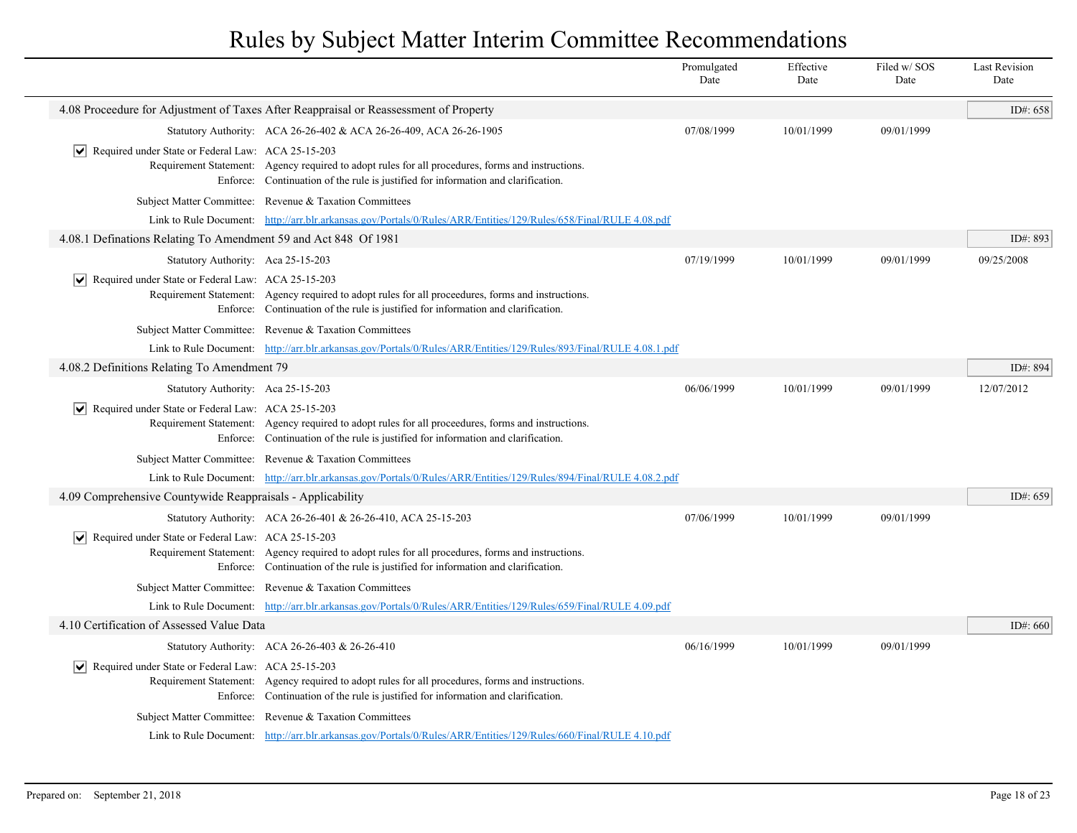|                                                                           |                                                                                                                                                                                         | Promulgated<br>Date | Effective<br>Date | Filed w/SOS<br>Date | <b>Last Revision</b><br>Date |
|---------------------------------------------------------------------------|-----------------------------------------------------------------------------------------------------------------------------------------------------------------------------------------|---------------------|-------------------|---------------------|------------------------------|
|                                                                           | 4.08 Proceedure for Adjustment of Taxes After Reappraisal or Reassessment of Property                                                                                                   |                     |                   |                     | ID#: 658                     |
|                                                                           | Statutory Authority: ACA 26-26-402 & ACA 26-26-409, ACA 26-26-1905                                                                                                                      | 07/08/1999          | 10/01/1999        | 09/01/1999          |                              |
| Required under State or Federal Law: ACA 25-15-203<br>$ \mathbf{v} $      | Requirement Statement: Agency required to adopt rules for all procedures, forms and instructions.<br>Enforce: Continuation of the rule is justified for information and clarification.  |                     |                   |                     |                              |
|                                                                           | Subject Matter Committee: Revenue & Taxation Committees                                                                                                                                 |                     |                   |                     |                              |
|                                                                           | Link to Rule Document: http://arr.blr.arkansas.gov/Portals/0/Rules/ARR/Entities/129/Rules/658/Final/RULE 4.08.pdf                                                                       |                     |                   |                     |                              |
| 4.08.1 Definations Relating To Amendment 59 and Act 848 Of 1981           |                                                                                                                                                                                         |                     |                   |                     | ID#: 893                     |
| Statutory Authority: Aca 25-15-203                                        |                                                                                                                                                                                         | 07/19/1999          | 10/01/1999        | 09/01/1999          | 09/25/2008                   |
| Required under State or Federal Law: ACA 25-15-203<br>$ \bm{\mathsf{v}} $ | Requirement Statement: Agency required to adopt rules for all proceedures, forms and instructions.<br>Enforce: Continuation of the rule is justified for information and clarification. |                     |                   |                     |                              |
|                                                                           | Subject Matter Committee: Revenue & Taxation Committees                                                                                                                                 |                     |                   |                     |                              |
|                                                                           | Link to Rule Document: http://arr.blr.arkansas.gov/Portals/0/Rules/ARR/Entities/129/Rules/893/Final/RULE 4.08.1.pdf                                                                     |                     |                   |                     |                              |
| 4.08.2 Definitions Relating To Amendment 79                               |                                                                                                                                                                                         |                     |                   |                     | ID#: 894                     |
| Statutory Authority: Aca 25-15-203                                        |                                                                                                                                                                                         | 06/06/1999          | 10/01/1999        | 09/01/1999          | 12/07/2012                   |
| $ \mathbf{v} $ Required under State or Federal Law: ACA 25-15-203         | Requirement Statement: Agency required to adopt rules for all proceedures, forms and instructions.<br>Enforce: Continuation of the rule is justified for information and clarification. |                     |                   |                     |                              |
|                                                                           | Subject Matter Committee: Revenue & Taxation Committees                                                                                                                                 |                     |                   |                     |                              |
|                                                                           | Link to Rule Document: http://arr.blr.arkansas.gov/Portals/0/Rules/ARR/Entities/129/Rules/894/Final/RULE 4.08.2.pdf                                                                     |                     |                   |                     |                              |
| 4.09 Comprehensive Countywide Reappraisals - Applicability                |                                                                                                                                                                                         |                     |                   |                     | ID#: 659                     |
|                                                                           | Statutory Authority: ACA 26-26-401 & 26-26-410, ACA 25-15-203                                                                                                                           | 07/06/1999          | 10/01/1999        | 09/01/1999          |                              |
| $\triangleright$ Required under State or Federal Law: ACA 25-15-203       | Requirement Statement: Agency required to adopt rules for all procedures, forms and instructions.<br>Enforce: Continuation of the rule is justified for information and clarification.  |                     |                   |                     |                              |
|                                                                           | Subject Matter Committee: Revenue & Taxation Committees                                                                                                                                 |                     |                   |                     |                              |
|                                                                           | Link to Rule Document: http://arr.blr.arkansas.gov/Portals/0/Rules/ARR/Entities/129/Rules/659/Final/RULE 4.09.pdf                                                                       |                     |                   |                     |                              |
| 4.10 Certification of Assessed Value Data                                 |                                                                                                                                                                                         |                     |                   |                     | ID#: 660                     |
|                                                                           | Statutory Authority: ACA 26-26-403 & 26-26-410                                                                                                                                          | 06/16/1999          | 10/01/1999        | 09/01/1999          |                              |
| Required under State or Federal Law: ACA 25-15-203                        | Requirement Statement: Agency required to adopt rules for all procedures, forms and instructions.<br>Enforce: Continuation of the rule is justified for information and clarification.  |                     |                   |                     |                              |
|                                                                           | Subject Matter Committee: Revenue & Taxation Committees                                                                                                                                 |                     |                   |                     |                              |
|                                                                           | Link to Rule Document: http://arr.blr.arkansas.gov/Portals/0/Rules/ARR/Entities/129/Rules/660/Final/RULE 4.10.pdf                                                                       |                     |                   |                     |                              |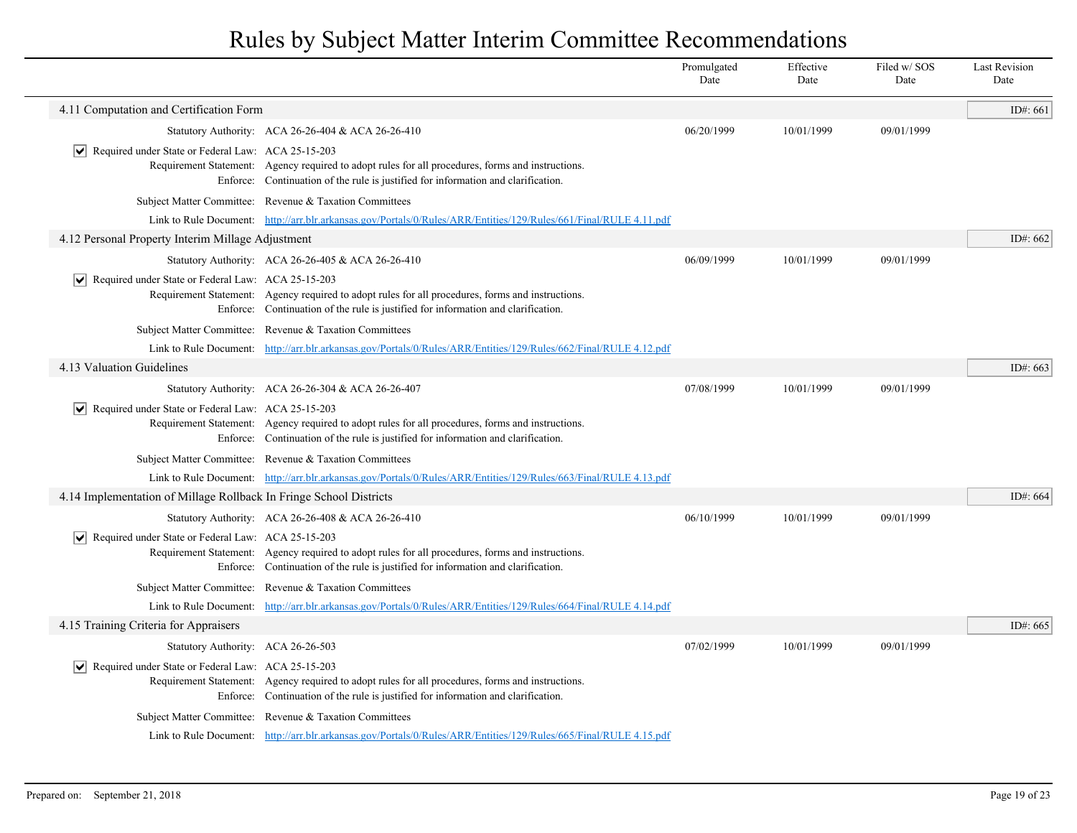|                                                                           |                                                                                                                                                                                        | Promulgated<br>Date | Effective<br>Date | Filed w/SOS<br>Date | <b>Last Revision</b><br>Date |
|---------------------------------------------------------------------------|----------------------------------------------------------------------------------------------------------------------------------------------------------------------------------------|---------------------|-------------------|---------------------|------------------------------|
| 4.11 Computation and Certification Form                                   |                                                                                                                                                                                        |                     |                   |                     | ID#: $661$                   |
|                                                                           | Statutory Authority: ACA 26-26-404 & ACA 26-26-410                                                                                                                                     | 06/20/1999          | 10/01/1999        | 09/01/1999          |                              |
| Required under State or Federal Law: ACA 25-15-203<br>∣V∣                 | Requirement Statement: Agency required to adopt rules for all procedures, forms and instructions.<br>Enforce: Continuation of the rule is justified for information and clarification. |                     |                   |                     |                              |
|                                                                           | Subject Matter Committee: Revenue & Taxation Committees                                                                                                                                |                     |                   |                     |                              |
|                                                                           | Link to Rule Document: http://arr.blr.arkansas.gov/Portals/0/Rules/ARR/Entities/129/Rules/661/Final/RULE 4.11.pdf                                                                      |                     |                   |                     |                              |
| 4.12 Personal Property Interim Millage Adjustment                         |                                                                                                                                                                                        |                     |                   |                     | ID#: 662                     |
|                                                                           | Statutory Authority: ACA 26-26-405 & ACA 26-26-410                                                                                                                                     | 06/09/1999          | 10/01/1999        | 09/01/1999          |                              |
| $ \mathbf{v} $ Required under State or Federal Law: ACA 25-15-203         | Requirement Statement: Agency required to adopt rules for all procedures, forms and instructions.<br>Enforce: Continuation of the rule is justified for information and clarification. |                     |                   |                     |                              |
|                                                                           | Subject Matter Committee: Revenue & Taxation Committees                                                                                                                                |                     |                   |                     |                              |
|                                                                           | Link to Rule Document: http://arr.blr.arkansas.gov/Portals/0/Rules/ARR/Entities/129/Rules/662/Final/RULE 4.12.pdf                                                                      |                     |                   |                     |                              |
| 4.13 Valuation Guidelines                                                 |                                                                                                                                                                                        |                     |                   |                     | ID#: 663                     |
|                                                                           | Statutory Authority: ACA 26-26-304 & ACA 26-26-407                                                                                                                                     | 07/08/1999          | 10/01/1999        | 09/01/1999          |                              |
| $ \mathbf{v} $ Required under State or Federal Law: ACA 25-15-203         | Requirement Statement: Agency required to adopt rules for all procedures, forms and instructions.<br>Enforce: Continuation of the rule is justified for information and clarification. |                     |                   |                     |                              |
|                                                                           | Subject Matter Committee: Revenue & Taxation Committees                                                                                                                                |                     |                   |                     |                              |
|                                                                           | Link to Rule Document: http://arr.blr.arkansas.gov/Portals/0/Rules/ARR/Entities/129/Rules/663/Final/RULE 4.13.pdf                                                                      |                     |                   |                     |                              |
| 4.14 Implementation of Millage Rollback In Fringe School Districts        |                                                                                                                                                                                        |                     |                   |                     | ID#: 664                     |
|                                                                           | Statutory Authority: ACA 26-26-408 & ACA 26-26-410                                                                                                                                     | 06/10/1999          | 10/01/1999        | 09/01/1999          |                              |
| $\triangledown$ Required under State or Federal Law: ACA 25-15-203        | Requirement Statement: Agency required to adopt rules for all procedures, forms and instructions.<br>Enforce: Continuation of the rule is justified for information and clarification. |                     |                   |                     |                              |
|                                                                           | Subject Matter Committee: Revenue & Taxation Committees                                                                                                                                |                     |                   |                     |                              |
|                                                                           | Link to Rule Document: http://arr.blr.arkansas.gov/Portals/0/Rules/ARR/Entities/129/Rules/664/Final/RULE 4.14.pdf                                                                      |                     |                   |                     |                              |
| 4.15 Training Criteria for Appraisers                                     |                                                                                                                                                                                        |                     |                   |                     | ID#: $665$                   |
| Statutory Authority: ACA 26-26-503                                        |                                                                                                                                                                                        | 07/02/1999          | 10/01/1999        | 09/01/1999          |                              |
| Required under State or Federal Law: ACA 25-15-203<br>$ \bm{\mathsf{v}} $ | Requirement Statement: Agency required to adopt rules for all procedures, forms and instructions.<br>Enforce: Continuation of the rule is justified for information and clarification. |                     |                   |                     |                              |
|                                                                           | Subject Matter Committee: Revenue & Taxation Committees                                                                                                                                |                     |                   |                     |                              |
|                                                                           | Link to Rule Document: http://arr.blr.arkansas.gov/Portals/0/Rules/ARR/Entities/129/Rules/665/Final/RULE 4.15.pdf                                                                      |                     |                   |                     |                              |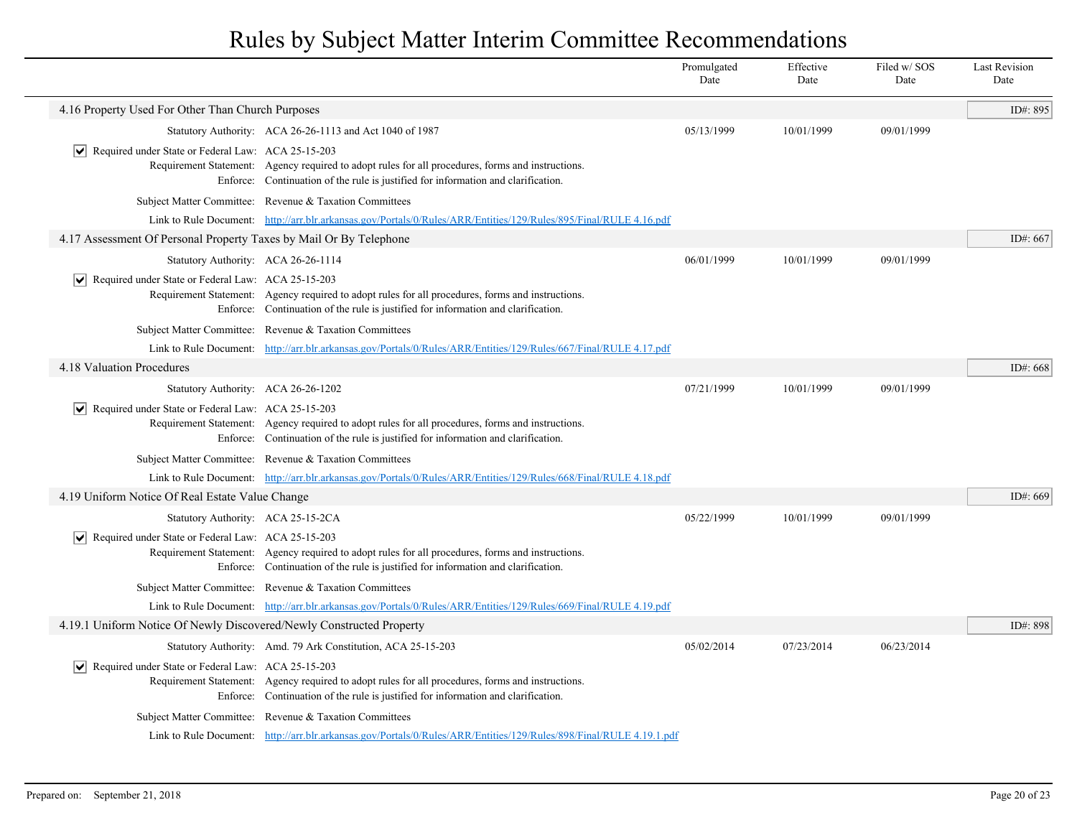|                                                                      |                                                                                                                                                                                        | Promulgated<br>Date | Effective<br>Date | Filed w/SOS<br>Date | <b>Last Revision</b><br>Date |
|----------------------------------------------------------------------|----------------------------------------------------------------------------------------------------------------------------------------------------------------------------------------|---------------------|-------------------|---------------------|------------------------------|
| 4.16 Property Used For Other Than Church Purposes                    |                                                                                                                                                                                        |                     |                   |                     | ID#: 895                     |
|                                                                      | Statutory Authority: ACA 26-26-1113 and Act 1040 of 1987                                                                                                                               | 05/13/1999          | 10/01/1999        | 09/01/1999          |                              |
| ↓ Required under State or Federal Law: ACA 25-15-203                 | Requirement Statement: Agency required to adopt rules for all procedures, forms and instructions.<br>Enforce: Continuation of the rule is justified for information and clarification. |                     |                   |                     |                              |
|                                                                      | Subject Matter Committee: Revenue & Taxation Committees                                                                                                                                |                     |                   |                     |                              |
|                                                                      | Link to Rule Document: http://arr.blr.arkansas.gov/Portals/0/Rules/ARR/Entities/129/Rules/895/Final/RULE 4.16.pdf                                                                      |                     |                   |                     |                              |
| 4.17 Assessment Of Personal Property Taxes by Mail Or By Telephone   |                                                                                                                                                                                        |                     |                   |                     | ID#: 667                     |
| Statutory Authority: ACA 26-26-1114                                  |                                                                                                                                                                                        | 06/01/1999          | 10/01/1999        | 09/01/1999          |                              |
| $ \mathbf{v} $ Required under State or Federal Law: ACA 25-15-203    | Requirement Statement: Agency required to adopt rules for all procedures, forms and instructions.<br>Enforce: Continuation of the rule is justified for information and clarification. |                     |                   |                     |                              |
|                                                                      | Subject Matter Committee: Revenue & Taxation Committees                                                                                                                                |                     |                   |                     |                              |
|                                                                      | Link to Rule Document: http://arr.blr.arkansas.gov/Portals/0/Rules/ARR/Entities/129/Rules/667/Final/RULE 4.17.pdf                                                                      |                     |                   |                     |                              |
| 4.18 Valuation Procedures                                            |                                                                                                                                                                                        |                     |                   |                     | ID#: 668                     |
| Statutory Authority: ACA 26-26-1202                                  |                                                                                                                                                                                        | 07/21/1999          | 10/01/1999        | 09/01/1999          |                              |
| $ \mathbf{v} $ Required under State or Federal Law: ACA 25-15-203    | Requirement Statement: Agency required to adopt rules for all procedures, forms and instructions.<br>Enforce: Continuation of the rule is justified for information and clarification. |                     |                   |                     |                              |
|                                                                      | Subject Matter Committee: Revenue & Taxation Committees                                                                                                                                |                     |                   |                     |                              |
|                                                                      | Link to Rule Document: http://arr.blr.arkansas.gov/Portals/0/Rules/ARR/Entities/129/Rules/668/Final/RULE 4.18.pdf                                                                      |                     |                   |                     |                              |
| 4.19 Uniform Notice Of Real Estate Value Change                      |                                                                                                                                                                                        |                     |                   |                     | ID#: 669                     |
| Statutory Authority: ACA 25-15-2CA                                   |                                                                                                                                                                                        | 05/22/1999          | 10/01/1999        | 09/01/1999          |                              |
| $ \mathbf{v} $ Required under State or Federal Law: ACA 25-15-203    | Requirement Statement: Agency required to adopt rules for all procedures, forms and instructions.<br>Enforce: Continuation of the rule is justified for information and clarification. |                     |                   |                     |                              |
|                                                                      | Subject Matter Committee: Revenue & Taxation Committees                                                                                                                                |                     |                   |                     |                              |
|                                                                      | Link to Rule Document: http://arr.blr.arkansas.gov/Portals/0/Rules/ARR/Entities/129/Rules/669/Final/RULE 4.19.pdf                                                                      |                     |                   |                     |                              |
| 4.19.1 Uniform Notice Of Newly Discovered/Newly Constructed Property |                                                                                                                                                                                        |                     |                   |                     | ID#: 898                     |
|                                                                      | Statutory Authority: Amd. 79 Ark Constitution, ACA 25-15-203                                                                                                                           | 05/02/2014          | 07/23/2014        | 06/23/2014          |                              |
| Required under State or Federal Law: ACA 25-15-203<br>$ \vee $       | Requirement Statement: Agency required to adopt rules for all procedures, forms and instructions.<br>Enforce: Continuation of the rule is justified for information and clarification. |                     |                   |                     |                              |
|                                                                      | Subject Matter Committee: Revenue & Taxation Committees                                                                                                                                |                     |                   |                     |                              |
|                                                                      | Link to Rule Document: http://arr.blr.arkansas.gov/Portals/0/Rules/ARR/Entities/129/Rules/898/Final/RULE 4.19.1.pdf                                                                    |                     |                   |                     |                              |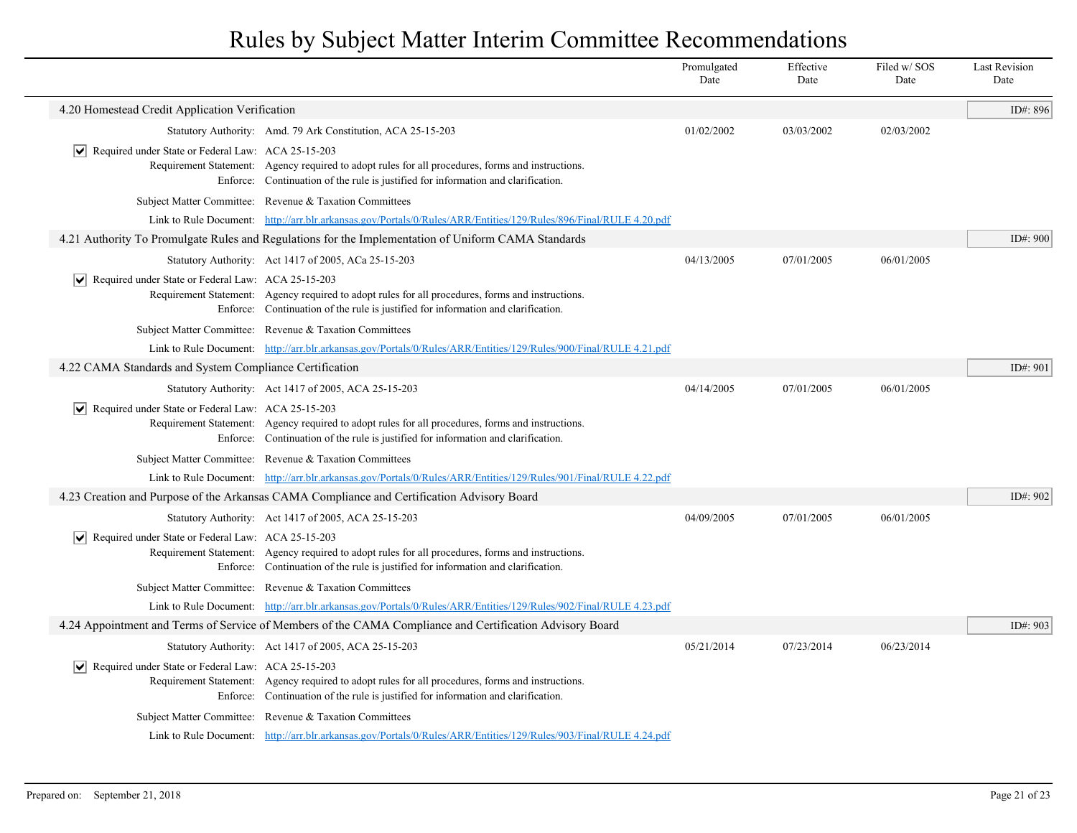|                                                                     |                                                                                                                                                                                        | Promulgated<br>Date | Effective<br>Date | Filed w/SOS<br>Date | <b>Last Revision</b><br>Date |
|---------------------------------------------------------------------|----------------------------------------------------------------------------------------------------------------------------------------------------------------------------------------|---------------------|-------------------|---------------------|------------------------------|
| 4.20 Homestead Credit Application Verification                      |                                                                                                                                                                                        |                     |                   |                     | ID#: 896                     |
|                                                                     | Statutory Authority: Amd. 79 Ark Constitution, ACA 25-15-203                                                                                                                           | 01/02/2002          | 03/03/2002        | 02/03/2002          |                              |
| $ \mathbf{v} $ Required under State or Federal Law: ACA 25-15-203   | Requirement Statement: Agency required to adopt rules for all procedures, forms and instructions.<br>Enforce: Continuation of the rule is justified for information and clarification. |                     |                   |                     |                              |
|                                                                     | Subject Matter Committee: Revenue & Taxation Committees                                                                                                                                |                     |                   |                     |                              |
|                                                                     | Link to Rule Document: http://arr.blr.arkansas.gov/Portals/0/Rules/ARR/Entities/129/Rules/896/Final/RULE 4.20.pdf                                                                      |                     |                   |                     |                              |
|                                                                     | 4.21 Authority To Promulgate Rules and Regulations for the Implementation of Uniform CAMA Standards                                                                                    |                     |                   |                     | ID#: 900                     |
|                                                                     | Statutory Authority: Act 1417 of 2005, ACa 25-15-203                                                                                                                                   | 04/13/2005          | 07/01/2005        | 06/01/2005          |                              |
| $ \mathbf{v} $ Required under State or Federal Law: ACA 25-15-203   |                                                                                                                                                                                        |                     |                   |                     |                              |
|                                                                     | Requirement Statement: Agency required to adopt rules for all procedures, forms and instructions.<br>Enforce: Continuation of the rule is justified for information and clarification. |                     |                   |                     |                              |
|                                                                     | Subject Matter Committee: Revenue & Taxation Committees                                                                                                                                |                     |                   |                     |                              |
|                                                                     | Link to Rule Document: http://arr.blr.arkansas.gov/Portals/0/Rules/ARR/Entities/129/Rules/900/Final/RULE 4.21.pdf                                                                      |                     |                   |                     |                              |
| 4.22 CAMA Standards and System Compliance Certification             |                                                                                                                                                                                        |                     |                   |                     | ID#: 901                     |
|                                                                     | Statutory Authority: Act 1417 of 2005, ACA 25-15-203                                                                                                                                   | 04/14/2005          | 07/01/2005        | 06/01/2005          |                              |
| Required under State or Federal Law: ACA 25-15-203                  | Requirement Statement: Agency required to adopt rules for all procedures, forms and instructions.<br>Enforce: Continuation of the rule is justified for information and clarification. |                     |                   |                     |                              |
|                                                                     | Subject Matter Committee: Revenue & Taxation Committees                                                                                                                                |                     |                   |                     |                              |
|                                                                     | Link to Rule Document: http://arr.blr.arkansas.gov/Portals/0/Rules/ARR/Entities/129/Rules/901/Final/RULE 4.22.pdf                                                                      |                     |                   |                     |                              |
|                                                                     | 4.23 Creation and Purpose of the Arkansas CAMA Compliance and Certification Advisory Board                                                                                             |                     |                   |                     | ID#: 902                     |
|                                                                     | Statutory Authority: Act 1417 of 2005, ACA 25-15-203                                                                                                                                   | 04/09/2005          | 07/01/2005        | 06/01/2005          |                              |
| $\triangleright$ Required under State or Federal Law: ACA 25-15-203 | Requirement Statement: Agency required to adopt rules for all procedures, forms and instructions.<br>Enforce: Continuation of the rule is justified for information and clarification. |                     |                   |                     |                              |
|                                                                     | Subject Matter Committee: Revenue & Taxation Committees                                                                                                                                |                     |                   |                     |                              |
|                                                                     | Link to Rule Document: http://arr.blr.arkansas.gov/Portals/0/Rules/ARR/Entities/129/Rules/902/Final/RULE 4.23.pdf                                                                      |                     |                   |                     |                              |
|                                                                     | 4.24 Appointment and Terms of Service of Members of the CAMA Compliance and Certification Advisory Board                                                                               |                     |                   |                     | ID#: 903                     |
|                                                                     | Statutory Authority: Act 1417 of 2005, ACA 25-15-203                                                                                                                                   | 05/21/2014          | 07/23/2014        | 06/23/2014          |                              |
| $ \mathbf{v} $ Required under State or Federal Law: ACA 25-15-203   | Requirement Statement: Agency required to adopt rules for all procedures, forms and instructions.<br>Enforce: Continuation of the rule is justified for information and clarification. |                     |                   |                     |                              |
|                                                                     | Subject Matter Committee: Revenue & Taxation Committees                                                                                                                                |                     |                   |                     |                              |
|                                                                     | Link to Rule Document: http://arr.blr.arkansas.gov/Portals/0/Rules/ARR/Entities/129/Rules/903/Final/RULE 4.24.pdf                                                                      |                     |                   |                     |                              |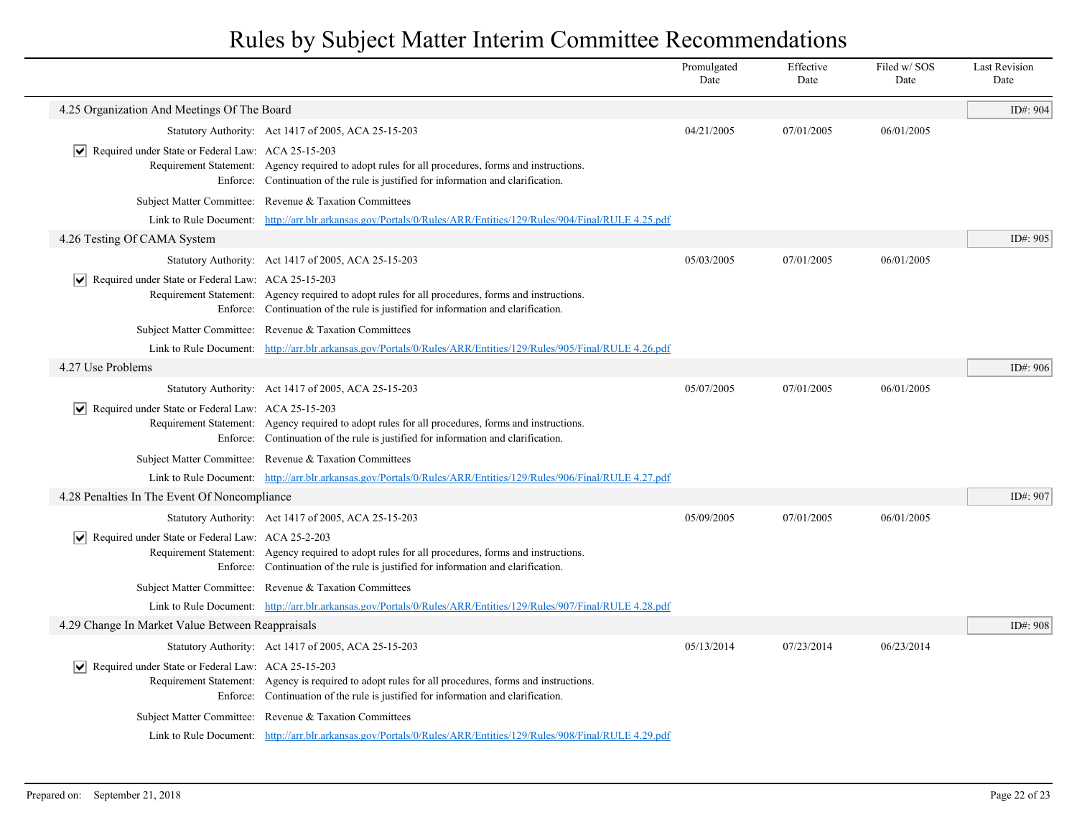|                                                                    |                                                                                                                                                                                           | Promulgated<br>Date | Effective<br>Date | Filed w/SOS<br>Date | <b>Last Revision</b><br>Date |
|--------------------------------------------------------------------|-------------------------------------------------------------------------------------------------------------------------------------------------------------------------------------------|---------------------|-------------------|---------------------|------------------------------|
| 4.25 Organization And Meetings Of The Board                        |                                                                                                                                                                                           |                     |                   |                     | ID#: 904                     |
|                                                                    | Statutory Authority: Act 1417 of 2005, ACA 25-15-203                                                                                                                                      | 04/21/2005          | 07/01/2005        | 06/01/2005          |                              |
| Required under State or Federal Law: ACA 25-15-203<br>∣V∣          | Requirement Statement: Agency required to adopt rules for all procedures, forms and instructions.<br>Enforce: Continuation of the rule is justified for information and clarification.    |                     |                   |                     |                              |
|                                                                    | Subject Matter Committee: Revenue & Taxation Committees                                                                                                                                   |                     |                   |                     |                              |
|                                                                    | Link to Rule Document: http://arr.blr.arkansas.gov/Portals/0/Rules/ARR/Entities/129/Rules/904/Final/RULE 4.25.pdf                                                                         |                     |                   |                     |                              |
| 4.26 Testing Of CAMA System                                        |                                                                                                                                                                                           |                     |                   |                     | ID#: 905                     |
|                                                                    | Statutory Authority: Act 1417 of 2005, ACA 25-15-203                                                                                                                                      | 05/03/2005          | 07/01/2005        | 06/01/2005          |                              |
| Required under State or Federal Law: ACA 25-15-203                 | Requirement Statement: Agency required to adopt rules for all procedures, forms and instructions.<br>Enforce: Continuation of the rule is justified for information and clarification.    |                     |                   |                     |                              |
|                                                                    | Subject Matter Committee: Revenue & Taxation Committees                                                                                                                                   |                     |                   |                     |                              |
|                                                                    | Link to Rule Document: http://arr.blr.arkansas.gov/Portals/0/Rules/ARR/Entities/129/Rules/905/Final/RULE 4.26.pdf                                                                         |                     |                   |                     |                              |
| 4.27 Use Problems                                                  |                                                                                                                                                                                           |                     |                   |                     | ID#: 906                     |
|                                                                    | Statutory Authority: Act 1417 of 2005, ACA 25-15-203                                                                                                                                      | 05/07/2005          | 07/01/2005        | 06/01/2005          |                              |
| $\triangledown$ Required under State or Federal Law: ACA 25-15-203 | Requirement Statement: Agency required to adopt rules for all procedures, forms and instructions.<br>Enforce: Continuation of the rule is justified for information and clarification.    |                     |                   |                     |                              |
|                                                                    | Subject Matter Committee: Revenue & Taxation Committees                                                                                                                                   |                     |                   |                     |                              |
|                                                                    | Link to Rule Document: http://arr.blr.arkansas.gov/Portals/0/Rules/ARR/Entities/129/Rules/906/Final/RULE 4.27.pdf                                                                         |                     |                   |                     |                              |
| 4.28 Penalties In The Event Of Noncompliance                       |                                                                                                                                                                                           |                     |                   |                     | ID#: 907                     |
|                                                                    | Statutory Authority: Act 1417 of 2005, ACA 25-15-203                                                                                                                                      | 05/09/2005          | 07/01/2005        | 06/01/2005          |                              |
| $ \mathbf{v} $ Required under State or Federal Law: ACA 25-2-203   | Requirement Statement: Agency required to adopt rules for all procedures, forms and instructions.<br>Enforce: Continuation of the rule is justified for information and clarification.    |                     |                   |                     |                              |
|                                                                    | Subject Matter Committee: Revenue & Taxation Committees                                                                                                                                   |                     |                   |                     |                              |
|                                                                    | Link to Rule Document: http://arr.blr.arkansas.gov/Portals/0/Rules/ARR/Entities/129/Rules/907/Final/RULE 4.28.pdf                                                                         |                     |                   |                     |                              |
| 4.29 Change In Market Value Between Reappraisals                   |                                                                                                                                                                                           |                     |                   |                     | ID#: 908                     |
|                                                                    | Statutory Authority: Act 1417 of 2005, ACA 25-15-203                                                                                                                                      | 05/13/2014          | 07/23/2014        | 06/23/2014          |                              |
| $ \mathbf{v} $ Required under State or Federal Law: ACA 25-15-203  | Requirement Statement: Agency is required to adopt rules for all procedures, forms and instructions.<br>Enforce: Continuation of the rule is justified for information and clarification. |                     |                   |                     |                              |
|                                                                    | Subject Matter Committee: Revenue & Taxation Committees                                                                                                                                   |                     |                   |                     |                              |
|                                                                    | Link to Rule Document: http://arr.blr.arkansas.gov/Portals/0/Rules/ARR/Entities/129/Rules/908/Final/RULE 4.29.pdf                                                                         |                     |                   |                     |                              |